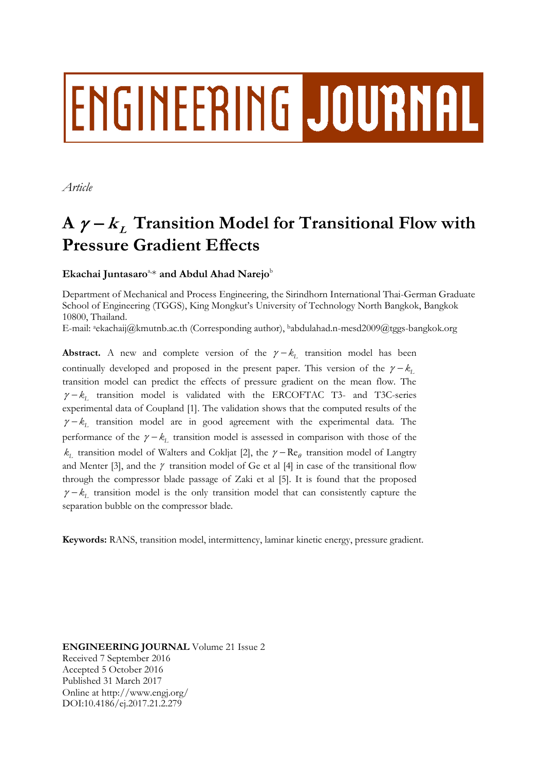# ENGINEERING JOURNAL

*Article*

# $A \gamma - k_L$  Transition Model for Transitional Flow with **Pressure Gradient Effects**

# Ekachai Juntasaro<sup>a,\*</sup> and Abdul Ahad Narejo<sup>b</sup>

Department of Mechanical and Process Engineering, the Sirindhorn International Thai-German Graduate School of Engineering (TGGS), King Mongkut's University of Technology North Bangkok, Bangkok 10800, Thailand.

E-mail: aekachaij@kmutnb.ac.th (Corresponding author), babdulahad.n-mesd2009@tggs-bangkok.org

**Abstract.** A new and complete version of the  $\gamma - k_L$  transition model has been continually developed and proposed in the present paper. This version of the  $\gamma - k_1$ transition model can predict the effects of pressure gradient on the mean flow. The  $\gamma - k_L$  transition model is validated with the ERCOFTAC T3- and T3C-series experimental data of Coupland [1]. The validation shows that the computed results of the  $\gamma - k_L$  transition model are in good agreement with the experimental data. The performance of the  $\gamma - k_L$  transition model is assessed in comparison with those of the  $k_L$  transition model of Walters and Cokljat [2], the  $\gamma - \text{Re}_\theta$  transition model of Langtry and Menter [3], and the  $\gamma$  transition model of Ge et al [4] in case of the transitional flow through the compressor blade passage of Zaki et al [5]. It is found that the proposed  $\gamma - k_L$  transition model is the only transition model that can consistently capture the separation bubble on the compressor blade.

**Keywords:** RANS, transition model, intermittency, laminar kinetic energy, pressure gradient.

**ENGINEERING JOURNAL** Volume 21 Issue 2 Received 7 September 2016 Accepted 5 October 2016 Published 31 March 2017 Online at http://www.engj.org/ DOI:10.4186/ej.2017.21.2.279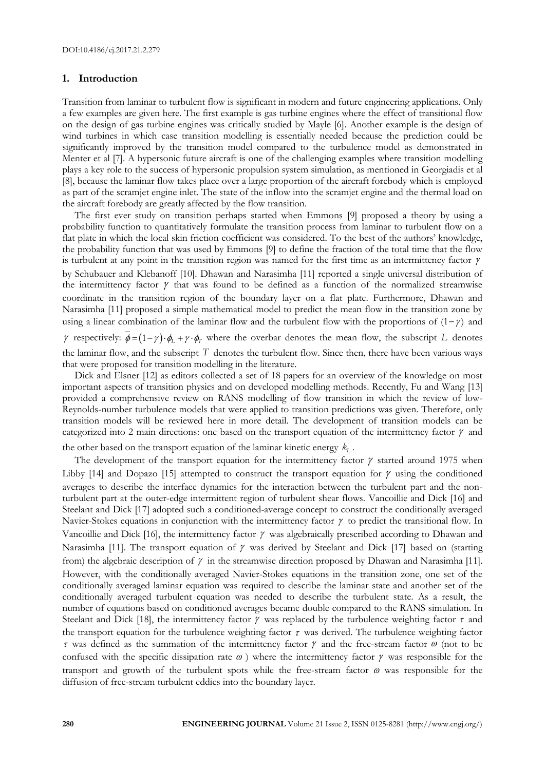#### **1. Introduction**

Transition from laminar to turbulent flow is significant in modern and future engineering applications. Only a few examples are given here. The first example is gas turbine engines where the effect of transitional flow on the design of gas turbine engines was critically studied by Mayle [6]. Another example is the design of wind turbines in which case transition modelling is essentially needed because the prediction could be significantly improved by the transition model compared to the turbulence model as demonstrated in Menter et al [7]. A hypersonic future aircraft is one of the challenging examples where transition modelling plays a key role to the success of hypersonic propulsion system simulation, as mentioned in Georgiadis et al [8], because the laminar flow takes place over a large proportion of the aircraft forebody which is employed as part of the scramjet engine inlet. The state of the inflow into the scramjet engine and the thermal load on the aircraft forebody are greatly affected by the flow transition.

The first ever study on transition perhaps started when Emmons [9] proposed a theory by using a probability function to quantitatively formulate the transition process from laminar to turbulent flow on a flat plate in which the local skin friction coefficient was considered. To the best of the authors' knowledge, the probability function that was used by Emmons [9] to define the fraction of the total time that the flow is turbulent at any point in the transition region was named for the first time as an intermittency factor  $\gamma$ by Schubauer and Klebanoff [10]. Dhawan and Narasimha [11] reported a single universal distribution of the intermittency factor  $\gamma$  that was found to be defined as a function of the normalized streamwise coordinate in the transition region of the boundary layer on a flat plate. Furthermore, Dhawan and Narasimha [11] proposed a simple mathematical model to predict the mean flow in the transition zone by using a linear combination of the laminar flow and the turbulent flow with the proportions of  $(1-\gamma)$  and

 $\gamma$  respectively:  $\vec{\phi} = (1 - \gamma) \cdot \phi_L + \gamma \cdot \phi_T$  where the overbar denotes the mean flow, the subscript L denotes the laminar flow, and the subscript  $T$  denotes the turbulent flow. Since then, there have been various ways that were proposed for transition modelling in the literature.

Dick and Elsner [12] as editors collected a set of 18 papers for an overview of the knowledge on most important aspects of transition physics and on developed modelling methods. Recently, Fu and Wang [13] provided a comprehensive review on RANS modelling of flow transition in which the review of low-Reynolds-number turbulence models that were applied to transition predictions was given. Therefore, only transition models will be reviewed here in more detail. The development of transition models can be categorized into 2 main directions: one based on the transport equation of the intermittency factor  $\gamma$  and

the other based on the transport equation of the laminar kinetic energy  $k_{L}$ .

The development of the transport equation for the intermittency factor  $\gamma$  started around 1975 when Libby [14] and Dopazo [15] attempted to construct the transport equation for  $\gamma$  using the conditioned averages to describe the interface dynamics for the interaction between the turbulent part and the nonturbulent part at the outer-edge intermittent region of turbulent shear flows. Vancoillie and Dick [16] and Steelant and Dick [17] adopted such a conditioned-average concept to construct the conditionally averaged Navier-Stokes equations in conjunction with the intermittency factor  $\gamma$  to predict the transitional flow. In Vancoillie and Dick [16], the intermittency factor  $\gamma$  was algebraically prescribed according to Dhawan and Narasimha [11]. The transport equation of  $\gamma$  was derived by Steelant and Dick [17] based on (starting from) the algebraic description of  $\gamma$  in the streamwise direction proposed by Dhawan and Narasimha [11]. However, with the conditionally averaged Navier-Stokes equations in the transition zone, one set of the conditionally averaged laminar equation was required to describe the laminar state and another set of the conditionally averaged turbulent equation was needed to describe the turbulent state. As a result, the number of equations based on conditioned averages became double compared to the RANS simulation. In Steelant and Dick [18], the intermittency factor  $\gamma$  was replaced by the turbulence weighting factor  $\tau$  and the transport equation for the turbulence weighting factor  $\tau$  was derived. The turbulence weighting factor  $\tau$  was defined as the summation of the intermittency factor  $\gamma$  and the free-stream factor  $\omega$  (not to be confused with the specific dissipation rate  $\omega$ ) where the intermittency factor  $\gamma$  was responsible for the transport and growth of the turbulent spots while the free-stream factor  $\omega$  was responsible for the diffusion of free-stream turbulent eddies into the boundary layer.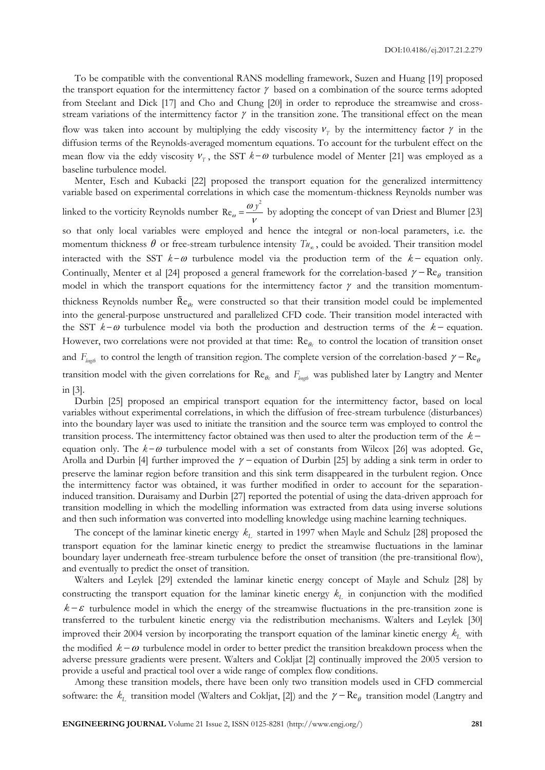To be compatible with the conventional RANS modelling framework, Suzen and Huang [19] proposed the transport equation for the intermittency factor  $\gamma$  based on a combination of the source terms adopted from Steelant and Dick [17] and Cho and Chung [20] in order to reproduce the streamwise and crossstream variations of the intermittency factor  $\gamma$  in the transition zone. The transitional effect on the mean flow was taken into account by multiplying the eddy viscosity  $v_T$  by the intermittency factor  $\gamma$  in the diffusion terms of the Reynolds-averaged momentum equations. To account for the turbulent effect on the mean flow via the eddy viscosity  $V_T$ , the SST  $k-\omega$  turbulence model of Menter [21] was employed as a baseline turbulence model.

Menter, Esch and Kubacki [22] proposed the transport equation for the generalized intermittency variable based on experimental correlations in which case the momentum-thickness Reynolds number was linked to the vorticity Reynolds number  $\text{Re}_\omega$  $\omega$  $=\frac{\omega y^2}{v}$  $\text{Re}_{\omega} = \frac{\omega y}{\omega}$  by adopting the concept of van Driest and Blumer [23] so that only local variables were employed and hence the integral or non-local parameters, i.e. the momentum thickness  $\theta$  or free-stream turbulence intensity  $T_{\mu_{\infty}}$ , could be avoided. Their transition model interacted with the SST  $k-\omega$  turbulence model via the production term of the  $k-$  equation only. Continually, Menter et al [24] proposed a general framework for the correlation-based  $\gamma - \text{Re}_{\theta}$  transition model in which the transport equations for the intermittency factor  $\gamma$  and the transition momentumthickness Reynolds number  $\text{Re}_{\theta t}$  were constructed so that their transition model could be implemented into the general-purpose unstructured and parallelized CFD code. Their transition model interacted with the SST  $k-\omega$  turbulence model via both the production and destruction terms of the  $k$ -equation. However, two correlations were not provided at that time: Re<sub>o</sub> to control the location of transition onset and  $F_{\text{length}}$  to control the length of transition region. The complete version of the correlation-based  $\gamma - \text{Re}_{\theta}$ transition model with the given correlations for  $\text{Re}_{\theta_c}$  and  $F_{\text{length}}$  was published later by Langtry and Menter in [3].

Durbin [25] proposed an empirical transport equation for the intermittency factor, based on local variables without experimental correlations, in which the diffusion of free-stream turbulence (disturbances) into the boundary layer was used to initiate the transition and the source term was employed to control the transition process. The intermittency factor obtained was then used to alter the production term of the *k* equation only. The  $k-\omega$  turbulence model with a set of constants from Wilcox [26] was adopted. Ge, Arolla and Durbin [4] further improved the  $\gamma$  – equation of Durbin [25] by adding a sink term in order to preserve the laminar region before transition and this sink term disappeared in the turbulent region. Once the intermittency factor was obtained, it was further modified in order to account for the separationinduced transition. Duraisamy and Durbin [27] reported the potential of using the data-driven approach for transition modelling in which the modelling information was extracted from data using inverse solutions and then such information was converted into modelling knowledge using machine learning techniques.

The concept of the laminar kinetic energy *kL* started in 1997 when Mayle and Schulz [28] proposed the transport equation for the laminar kinetic energy to predict the streamwise fluctuations in the laminar boundary layer underneath free-stream turbulence before the onset of transition (the pre-transitional flow), and eventually to predict the onset of transition.

Walters and Leylek [29] extended the laminar kinetic energy concept of Mayle and Schulz [28] by constructing the transport equation for the laminar kinetic energy *kL* in conjunction with the modified  $k - \varepsilon$  turbulence model in which the energy of the streamwise fluctuations in the pre-transition zone is transferred to the turbulent kinetic energy via the redistribution mechanisms. Walters and Leylek [30] improved their 2004 version by incorporating the transport equation of the laminar kinetic energy *kL* with the modified  $k - \omega$  turbulence model in order to better predict the transition breakdown process when the adverse pressure gradients were present. Walters and Cokljat [2] continually improved the 2005 version to provide a useful and practical tool over a wide range of complex flow conditions.

Among these transition models, there have been only two transition models used in CFD commercial software: the  $k_L$  transition model (Walters and Cokljat, [2]) and the  $\gamma - \text{Re}_\theta$  transition model (Langtry and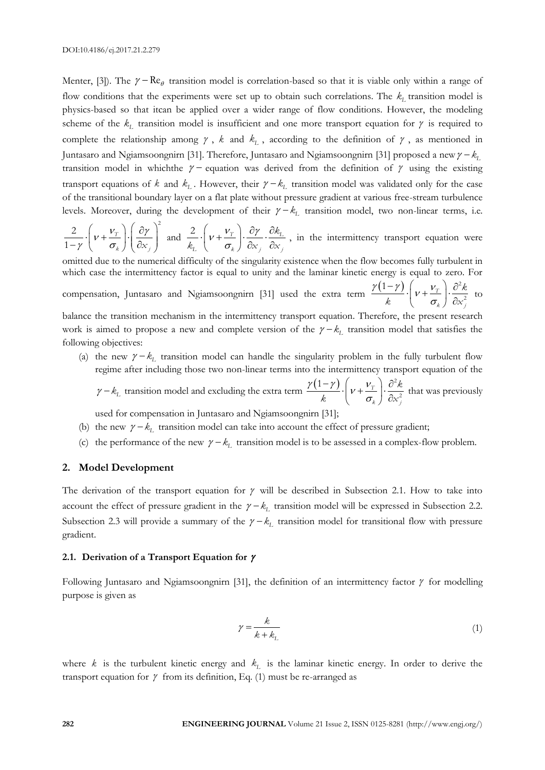Menter, [3]). The  $\gamma - \text{Re}_{\theta}$  transition model is correlation-based so that it is viable only within a range of flow conditions that the experiments were set up to obtain such correlations. The *kL* transition model is physics-based so that itcan be applied over a wider range of flow conditions. However, the modeling scheme of the  $k_L$  transition model is insufficient and one more transport equation for  $\gamma$  is required to complete the relationship among  $\gamma$ ,  $k$  and  $k_L$ , according to the definition of  $\gamma$ , as mentioned in Juntasaro and Ngiamsoongnirn [31]. Therefore, Juntasaro and Ngiamsoongnirn [31] proposed a new  $\gamma - k_1$ transition model in which the  $\gamma$  – equation was derived from the definition of  $\gamma$  using the existing transport equations of  $k$  and  $k_L$ . However, their  $\gamma - k_L$  transition model was validated only for the case of the transitional boundary layer on a flat plate without pressure gradient at various free-stream turbulence levels. Moreover, during the development of their  $\gamma - k_L$  transition model, two non-linear terms, i.e.

 $\frac{\partial}{\partial y}\left(v+\frac{V_T}{\sigma_k}\right)\left(\frac{\partial y}{\partial x}\right)$  $\left(\begin{array}{c} \nu_{\rm r} \end{array}\right) \left(\begin{array}{c} \partial \gamma \end{array}\right)^2$  $\frac{2}{-\gamma} \cdot \left( v + \frac{v_{T}}{\sigma_{k}} \right) \cdot \left( \frac{\partial \gamma}{\partial x_{j}} \right)$  a  $\sigma_k$  *j*  $\left(\frac{\partial x}{\partial x}\right)$ 2  $\left(\begin{array}{cc} v_{\tau} \end{array}\right)$   $\left(\begin{array}{c} \partial \gamma \end{array}\right)^2$ 1 and  $\frac{2}{\gamma}$ .  $v + \frac{V_T}{\gamma}$ .  $\frac{\partial \gamma}{\partial \gamma}$  $\sigma$  $\cdot \left(\nu + \frac{\nu_{T}}{\sigma_{k}}\right) \cdot \frac{\partial \gamma}{\partial x_{j}} \cdot \frac{\partial k_{L}}{\partial x_{j}}$  $\sigma_{\rm k}$  *j*  $\sigma_{\rm k}$  *j*  $\sigma_{\rm k}$  *j*  $\sigma_{\rm k}$  *j k*  $\overline{k_{L}}\left(V+\frac{1}{\sigma_{k}}\right)\overline{\partial x_{j}}\cdot\overline{\partial x_{k}}$  $\frac{2}{\epsilon} \cdot \left( v + \frac{v_{\text{T}}}{2} \right) \cdot \frac{\partial v}{\partial v} \cdot \frac{\partial k_{\text{L}}}{\partial v}$ , in the intermittency transport equation were

omitted due to the numerical difficulty of the singularity existence when the flow becomes fully turbulent in which case the intermittency factor is equal to unity and the laminar kinetic energy is equal to zero. For

compensation, Juntasaro and Ngiamsoongnirn [31] used the extra term  $\frac{\gamma(1-\gamma)}{\gamma}$ .  $\left[\gamma+\frac{\gamma}{\gamma}\right]$ σ  $\frac{(-\gamma)}{k} \cdot \left(\nu + \frac{v_T}{\sigma_k}\right) \cdot \frac{\partial^2 \phi}{\partial x}$ *k j k*  $\overline{k}$   $\left(\overline{v} + \frac{1}{\sigma_k}\right) \cdot \frac{1}{\partial x}$ 2 2 1 to

balance the transition mechanism in the intermittency transport equation. Therefore, the present research work is aimed to propose a new and complete version of the  $\gamma - k_L$  transition model that satisfies the following objectives:

- (a) the new  $\gamma k_L$  transition model can handle the singularity problem in the fully turbulent flow regime after including those two non-linear terms into the intermittency transport equation of the
	- $\gamma k_L$  transition model and excluding the extra term  $\frac{\gamma(1-\gamma)}{k} \cdot \left( v + \frac{v}{\gamma} \right)$ σ  $\frac{(-\gamma)}{k} \cdot \left(\nu + \frac{v_T}{\sigma_k}\right) \cdot \frac{\partial^2 v_T}{\partial x}$ *k j k*  $\overline{k}$   $\left(\begin{matrix} V + \overline{\sigma_k} \\ \sigma_k \end{matrix}\right) \cdot \overline{\partial_x}$ 2 2 1 that was previously
- used for compensation in Juntasaro and Ngiamsoongnirn [31];
- (b) the new  $\gamma k_L$  transition model can take into account the effect of pressure gradient;
- (c) the performance of the new  $\gamma k_L$  transition model is to be assessed in a complex-flow problem.

#### **2. Model Development**

The derivation of the transport equation for  $\gamma$  will be described in Subsection 2.1. How to take into account the effect of pressure gradient in the  $\gamma - k_L$  transition model will be expressed in Subsection 2.2. Subsection 2.3 will provide a summary of the  $\gamma - k_L$  transition model for transitional flow with pressure gradient.

#### **2.1. Derivation of a Transport Equation for**

Following Juntasaro and Ngiamsoongnirn [31], the definition of an intermittency factor  $\gamma$  for modelling purpose is given as

$$
\gamma = \frac{k}{k + k_L} \tag{1}
$$

where *k* is the turbulent kinetic energy and *kL* is the laminar kinetic energy. In order to derive the transport equation for  $\gamma$  from its definition, Eq. (1) must be re-arranged as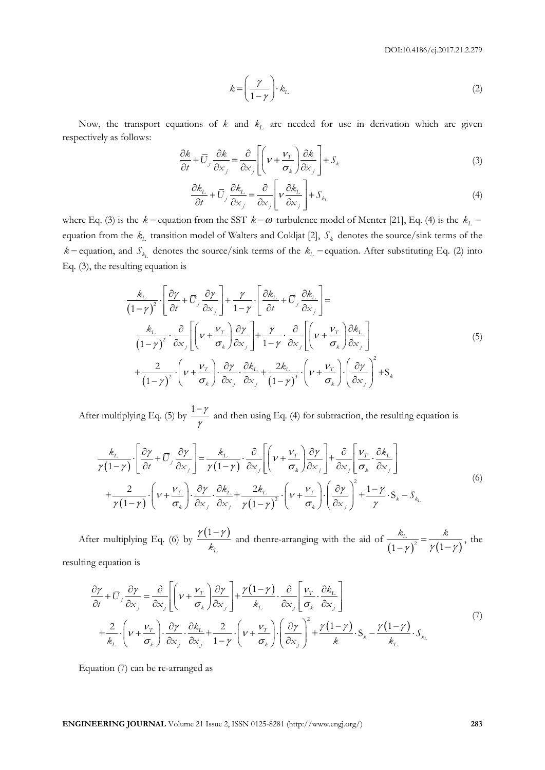$$
k = \left(\frac{\gamma}{1 - \gamma}\right) \cdot k_L \tag{2}
$$

Now, the transport equations of  $k$  and  $k<sub>L</sub>$  are needed for use in derivation which are given respectively as follows:

$$
\frac{\partial k}{\partial t} + \overline{U}_j \frac{\partial k}{\partial x_j} = \frac{\partial}{\partial x_j} \left[ \left( \nu + \frac{\nu_T}{\sigma_k} \right) \frac{\partial k}{\partial x_j} \right] + S_k
$$
\n(3)

$$
\frac{\partial k_{\rm L}}{\partial t} + \bar{U}_j \frac{\partial k_{\rm L}}{\partial x_j} = \frac{\partial}{\partial x_j} \left[ \nu \frac{\partial k_{\rm L}}{\partial x_j} \right] + S_{k_{\rm L}} \tag{4}
$$

where Eq. (3) is the  $k$  – equation from the SST  $k - \omega$  turbulence model of Menter [21], Eq. (4) is the  $k_L$  – equation from the *kL* transition model of Walters and Cokljat [2], *S<sup>k</sup>* denotes the source/sink terms of the  $k$  – equation, and  $S_{k_L}$  denotes the source/sink terms of the  $k_L$  – equation. After substituting Eq. (2) into Eq. (3), the resulting equation is

Now, the transport equations of k and k<sub>1</sub> are needed for use in derivation which are given  
respectively as follows:  
\n
$$
\frac{\partial k}{\partial t} + U_j \frac{\partial k}{\partial x_j} = \frac{\partial}{\partial x} \left[ \left( \nu + \frac{\nu_i}{\sigma_x} \right) \frac{\partial k}{\partial x_j} \right] + S_k
$$
\n(3)  
\nwhere Eq. (3) is the  $k$  = equation form  
\n
$$
\frac{\partial k_{\mu}}{\partial t} + U_j \frac{\partial k_{\mu}}{\partial x_j} = \frac{\partial}{\partial x_j} \left[ \nu + \frac{\partial k_{\mu}}{\partial x_j} \right] + S_{k_{\mu}}
$$
\n(4)  
\nwhere Eq. (3) is the  $k$  = equation and of W  
\nequation from the  $k_1$  transition model of W  
\nequation, and  $S_{k_{\mu}}$  denotes the source/sink terms of the  $k_1$  - equation. After substituting Eq. (2) into Eq. (3), the resulting equation is  
\n
$$
\frac{k_1}{(1-\gamma)^2} \cdot \left[ \frac{\partial \gamma}{\partial t} + \frac{\partial \gamma}{\partial x_j} \right] + \frac{\gamma}{1-\gamma} \cdot \left[ \frac{\partial k_1}{\partial t} + \frac{\partial}{\partial t_j} \right] = \frac{k_1}{(1-\gamma)^2} \cdot \left[ \frac{\partial \gamma}{\partial t} + \frac{\partial \gamma}{\partial x_j} \right] + \frac{\gamma}{1-\gamma} \cdot \left[ \frac{\partial k_1}{\partial t} + \frac{\partial}{\partial t_j} \right] = \frac{k_1}{(1-\gamma)^2} \cdot \left[ \frac{\partial \gamma}{\partial t} + \frac{\gamma}{\partial x_j} \right] \frac{\partial \gamma}{\partial x_j} + \frac{\gamma}{1-\gamma} \cdot \frac{\partial}{\partial x_j} \left[ \left( \nu + \frac{\nu_i}{\sigma_x} \right) \frac{\partial k_i}{\partial x_j} \right]
$$
\n(5)  
\n
$$
+ \frac{2}{(1-\gamma)^2} \cdot \left[ \nu + \frac{\nu_i}{\sigma_x} \right] \frac{\partial \gamma}{\partial x_j} + \frac{2k_1}{(1-\gamma)^3} \cdot \left( \nu + \frac{\nu_i}{\sigma_x} \right) \frac{\partial k_i}{\partial x_j} + S_k
$$
\nAfter multiplying Eq. (5) by  $\frac{1-\gamma}{\gamma}$  and then using Eq. (4)

After multiplying Eq. (5) by  $\frac{1-\gamma}{\gamma}$ γ ng Eq. (5) by  $\frac{1-\gamma}{\gamma}$  and then using Eq. (4) for subtraction, the resulting equation is<br>  $\left[\frac{\partial \gamma}{\partial t} + \overline{U}_i \frac{\partial \gamma}{\partial x}\right] = \frac{k_L}{(k_L - \gamma)^2} \cdot \frac{\partial}{\partial t} \left[\left(\gamma + \frac{V_T}{\gamma}\right) \frac{\partial \gamma}{\partial x}\right] + \frac{\partial}{\partial t} \left[\frac{V_T}{\gamma} \cdot \frac{\partial k_L}{\partial x}\right$ 

$$
\frac{k_L}{\gamma(1-\gamma)} \cdot \left[ \frac{\partial \gamma}{\partial t} + \overline{U}_j \frac{\partial \gamma}{\partial x_j} \right] = \frac{k_L}{\gamma(1-\gamma)} \cdot \frac{\partial}{\partial x_j} \left[ \left( \nu + \frac{\nu_T}{\sigma_k} \right) \frac{\partial \gamma}{\partial x_j} \right] + \frac{\partial}{\partial x_j} \left[ \frac{\nu_T}{\sigma_k} \cdot \frac{\partial k_L}{\partial x_j} \right]
$$
\n
$$
+ \frac{2}{\gamma(1-\gamma)} \cdot \left( \nu + \frac{\nu_T}{\sigma_k} \right) \cdot \frac{\partial \gamma}{\partial x_j} \cdot \frac{\partial k_L}{\partial x_j} + \frac{2k_L}{\gamma(1-\gamma)^2} \cdot \left( \nu + \frac{\nu_T}{\sigma_k} \right) \cdot \left( \frac{\partial \gamma}{\partial x_j} \right)^2 + \frac{1-\gamma}{\gamma} \cdot S_k - S_{k_L}
$$
\n(6)

After multiplying Eq. (6) by  $\frac{\gamma(1-\gamma)}{\gamma}$  $k_{L}$ and thenre-arranging with the aid of  $\frac{k_L}{(1-\gamma)^2} = \frac{k}{\gamma(1-\gamma)}$  $(1-\gamma)^2$   $\gamma(1-\gamma)$  $\frac{k_L}{r^2} = \frac{k}{(k+1)^2}$ , the

resulting equation is

$$
\kappa_{L} \qquad (1-\gamma) \qquad \gamma (1-\gamma)
$$
\n
$$
\frac{\partial \gamma}{\partial t} + \overline{U}_{j} \frac{\partial \gamma}{\partial x_{j}} = \frac{\partial}{\partial x_{j}} \left[ \left( \nu + \frac{\nu_{T}}{\sigma_{k}} \right) \frac{\partial \gamma}{\partial x_{j}} \right] + \frac{\gamma (1-\gamma)}{k_{L}} \cdot \frac{\partial}{\partial x_{j}} \left[ \frac{\nu_{T}}{\sigma_{k}} \cdot \frac{\partial k_{L}}{\partial x_{j}} \right]
$$
\n
$$
+ \frac{2}{k_{L}} \cdot \left( \nu + \frac{\nu_{T}}{\sigma_{k}} \right) \cdot \frac{\partial \gamma}{\partial x_{j}} \cdot \frac{\partial k_{L}}{\partial x_{j}} + \frac{2}{1-\gamma} \cdot \left( \nu + \frac{\nu_{T}}{\sigma_{k}} \right) \cdot \left( \frac{\partial \gamma}{\partial x_{j}} \right)^{2} + \frac{\gamma (1-\gamma)}{k} \cdot S_{k} - \frac{\gamma (1-\gamma)}{k_{L}} \cdot S_{k_{L}} \qquad (7)
$$

Equation (7) can be re-arranged as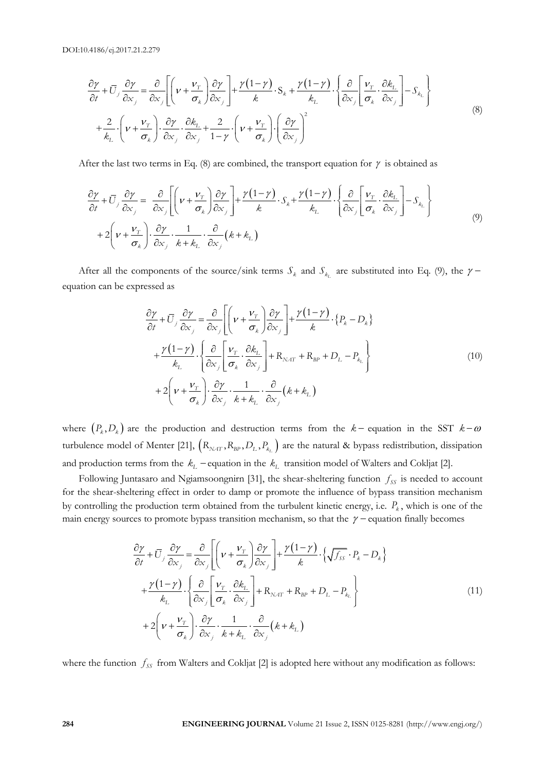.4186/ej.2017.21.2.279  
\n
$$
\frac{\partial \gamma}{\partial t} + \overline{U}_j \frac{\partial \gamma}{\partial x_j} = \frac{\partial}{\partial x_j} \left[ \left( \nu + \frac{\nu_r}{\sigma_k} \right) \frac{\partial \gamma}{\partial x_j} \right] + \frac{\gamma (1 - \gamma)}{k} \cdot S_k + \frac{\gamma (1 - \gamma)}{k} \cdot \left\{ \frac{\partial}{\partial x_j} \left[ \frac{\nu_r}{\sigma_k} \cdot \frac{\partial k_L}{\partial x_j} \right] - S_{k_L} \right\} + \frac{2}{k_L} \cdot \left( \nu + \frac{\nu_r}{\sigma_k} \right) \cdot \frac{\partial \gamma}{\partial x_j} \cdot \frac{\partial k_L}{\partial x_j} + \frac{2}{1 - \gamma} \cdot \left( \nu + \frac{\nu_r}{\sigma_k} \right) \cdot \left( \frac{\partial \gamma}{\partial x_j} \right)^2
$$
\n(8)

After the last two terms in Eq. (8) are combined, the transport equation for 
$$
\gamma
$$
 is obtained as\n
$$
\frac{\partial \gamma}{\partial t} + \overline{U}_j \frac{\partial \gamma}{\partial x_j} = \frac{\partial}{\partial x_j} \left[ \left( \nu + \frac{v_r}{\sigma_k} \right) \frac{\partial \gamma}{\partial x_j} \right] + \frac{\gamma (1 - \gamma)}{k} \cdot S_k + \frac{\gamma (1 - \gamma)}{k_L} \cdot \left\{ \frac{\partial}{\partial x_j} \left[ \frac{v_r}{\sigma_k} \cdot \frac{\partial k_L}{\partial x_j} \right] - S_{k_L} \right\}
$$
\n
$$
+ 2 \left( \nu + \frac{v_r}{\sigma_k} \right) \cdot \frac{\partial \gamma}{\partial x_j} \cdot \frac{1}{k + k_L} \cdot \frac{\partial}{\partial x_j} (k + k_L) \tag{9}
$$

After all the components of the source/sink terms  $S_k$  and  $S_{k_L}$  are substituted into Eq. (9), the  $\gamma$ equation can be expressed as

essed as

\n
$$
\frac{\partial \gamma}{\partial t} + \overline{U}_j \frac{\partial \gamma}{\partial x_j} = \frac{\partial}{\partial x_j} \left[ \left( \nu + \frac{\nu_T}{\sigma_k} \right) \frac{\partial \gamma}{\partial x_j} \right] + \frac{\gamma (1 - \gamma)}{k} \cdot \{P_k - D_k\}
$$
\n
$$
+ \frac{\gamma (1 - \gamma)}{k_L} \cdot \left\{ \frac{\partial}{\partial x_j} \left[ \frac{\nu_T}{\sigma_k} \cdot \frac{\partial k_L}{\partial x_j} \right] + R_{NAT} + R_{BP} + D_L - P_{k_L} \right\}
$$
\n
$$
+ 2 \left( \nu + \frac{\nu_T}{\sigma_k} \right) \cdot \frac{\partial \gamma}{\partial x_j} \cdot \frac{1}{k + k_L} \cdot \frac{\partial}{\partial x_j} \left( k + k_L \right)
$$
\n(10)

where  $(P_k, D_k)$  are the production and destruction terms from the  $k$ -equation in the SST  $k-\omega$ turbulence model of Menter [21],  $\left(R_{\text{NAT}}, R_{\text{BP}}, D_{\text{L}}, P_{k_{\text{L}}}\right)$  are the natural & bypass redistribution, dissipation and production terms from the  $k_L$  -equation in the  $k_L$  transition model of Walters and Cokljat [2].

Following Juntasaro and Ngiamsoongnirn [31], the shear-sheltering function  $f_{ss}$  is needed to account for the shear-sheltering effect in order to damp or promote the influence of bypass transition mechanism by controlling the production term obtained from the turbulent kinetic energy, i.e. *Pk* , which is one of the

main energy sources to promote bypass transition mechanism, so that the 
$$
\gamma
$$
 – equation finally becomes  
\n
$$
\frac{\partial \gamma}{\partial t} + \overline{U}_j \frac{\partial \gamma}{\partial x_j} = \frac{\partial}{\partial x_j} \left[ \left( \nu + \frac{v_T}{\sigma_k} \right) \frac{\partial \gamma}{\partial x_j} \right] + \frac{\gamma (1 - \gamma)}{k} \cdot \left\{ \sqrt{f_{ss}} \cdot P_k - D_k \right\}
$$
\n
$$
+ \frac{\gamma (1 - \gamma)}{k_L} \cdot \left\{ \frac{\partial}{\partial x_j} \left[ \frac{v_T}{\sigma_k} \cdot \frac{\partial k_L}{\partial x_j} \right] + R_{NAT} + R_{BP} + D_L - P_{k_L} \right\}
$$
\n
$$
+ 2 \left( \nu + \frac{v_T}{\sigma_k} \right) \cdot \frac{\partial \gamma}{\partial x_j} \cdot \frac{1}{k + k_L} \cdot \frac{\partial}{\partial x_j} (k + k_L) \tag{11}
$$

where the function  $f_{SS}$  from Walters and Cokljat [2] is adopted here without any modification as follows: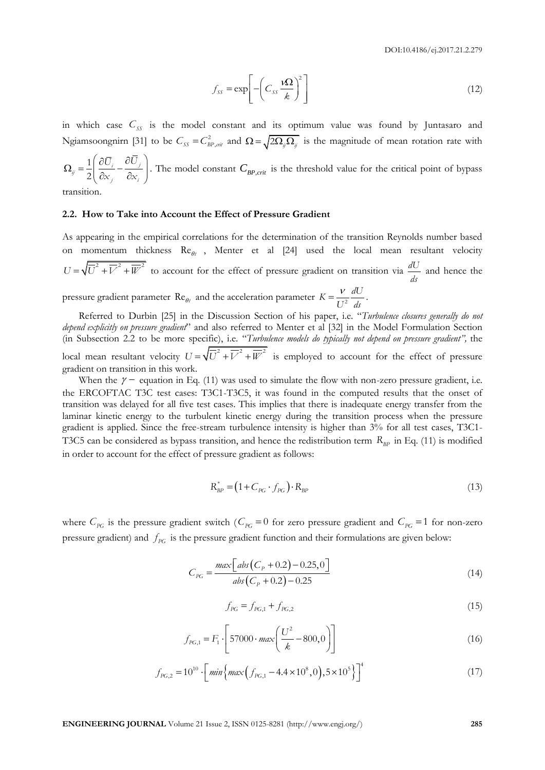$$
f_{SS} = \exp\left[-\left(C_{SS} \frac{\mathbf{\Omega}}{k}\right)^2\right] \tag{12}
$$

in which case  $C_{SS}$  is the model constant and its optimum value was found by Juntasaro and Ngiamsoongnirn [31] to be  $C_{ss} = C_{BP,ori}^2$  and  $\Omega = \sqrt{2\Omega_{ij}\Omega_{ij}}$  is the magnitude of mean rotation rate with

$$
\Omega_{ij} = \frac{1}{2} \left( \frac{\partial \overline{U}_i}{\partial x_j} - \frac{\partial \overline{U}_j}{\partial x_i} \right).
$$
 The model constant  $C_{BP,crit}$  is the threshold value for the critical point of bypass

ransitio

#### **2.2. How to Take into Account the Effect of Pressure Gradient**

As appearing in the empirical correlations for the determination of the transition Reynolds number based on momentum thickness  $\text{Re}_{\theta t}$ , Menter et al [24] used the local mean resultant velocity  $U = \sqrt{\overline{U}^2 + \overline{V}^2 + \overline{W}^2}$  to account for the effect of pressure gradient on transition via  $\frac{dU}{dV}$ *ds* and hence the pressure gradient parameter Re<sub> $\theta$ t</sub> and the acceleration parameter  $K = \frac{V}{L_{12}^{2}} \frac{dU}{dx}$  $U^2$  ds .

Referred to Durbin [25] in the Discussion Section of his paper, i.e. "*Turbulence closures generally do not depend explicitly on pressure gradient*" and also referred to Menter et al [32] in the Model Formulation Section (in Subsection 2.2 to be more specific), i.e. "*Turbulence models do typically not depend on pressure gradient",* the local mean resultant velocity  $U = \sqrt{U^2 + V^2 + W^2}$  is employed to account for the effect of pressure gradient on transition in this work.

 $f_{\infty} = \exp\left[-\left(c_{\infty} \frac{\Omega}{L}\right)\right]$ <br> **ENGINEERING CONSULS CONSULS AND ALTERATIVE CONSULS AND ALTERATIVE CONSULS ARE CONSULS ARE CONSULS ARE CONSULS ARE CONSULS AND**  $Q_{\infty} = \frac{1}{2} \left(\frac{\partial L}{\partial x_{\infty}}, \frac{\partial L}{\partial y_{\infty}}\right)$ **. The mode** When the  $\gamma$  – equation in Eq. (11) was used to simulate the flow with non-zero pressure gradient, i.e. the ERCOFTAC T3C test cases: T3C1-T3C5, it was found in the computed results that the onset of transition was delayed for all five test cases. This implies that there is inadequate energy transfer from the laminar kinetic energy to the turbulent kinetic energy during the transition process when the pressure gradient is applied. Since the free-stream turbulence intensity is higher than 3% for all test cases, T3C1- T3C5 can be considered as bypass transition, and hence the redistribution term R<sub>BP</sub> in Eq. (11) is modified in order to account for the effect of pressure gradient as follows:

$$
R_{BP}^* = \left(1 + C_{PG} \cdot f_{PG}\right) \cdot R_{BP} \tag{13}
$$

where  $C_{PG}$  is the pressure gradient switch ( $C_{PG} = 0$  for zero pressure gradient and  $C_{PG} = 1$  for non-zero pressure gradient) and  $f_{PG}$  is the pressure gradient function and their formulations are given below:

$$
C_{PG} = \frac{max\left[abs\left(C_p + 0.2\right) - 0.25, 0\right]}{abs\left(C_p + 0.2\right) - 0.25}
$$
\n(14)

$$
f_{PG} = f_{PG,1} + f_{PG,2}
$$
\n(15)

$$
f_{PG,1} = F_1 \cdot \left[ 57000 \cdot \max\left( \frac{U^2}{k} - 800, 0 \right) \right]
$$
 (16)

$$
\begin{bmatrix}\n & & \\
 & & & \\
\end{bmatrix}
$$
\n
$$
f_{PG,2} = 10^{10} \cdot \left[ \min \{ \max \left( f_{PG,1} - 4.4 \times 10^8, 0 \right), 5 \times 10^5 \} \right]^4
$$
\n(17)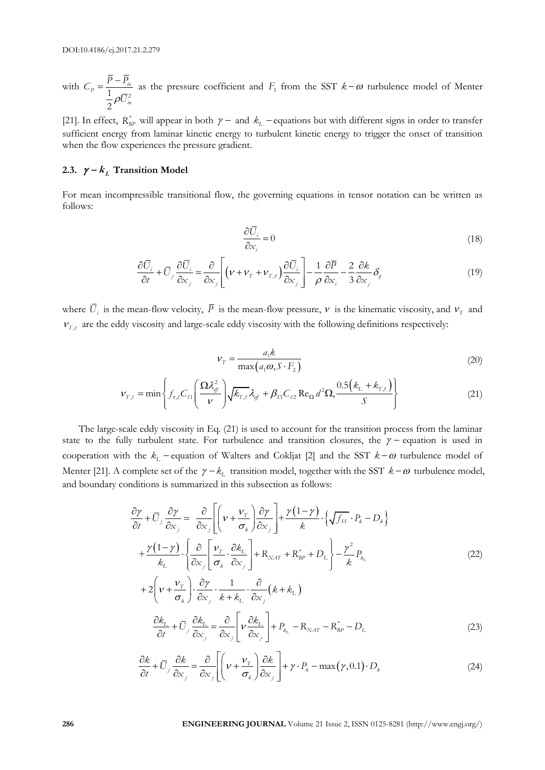with  $\rho$  $=\frac{\overline{P}-\overline{P}_{in}}{1-\sigma\overline{P}_{in}^{2}}$ 2  $p = \frac{1}{1}$ *in*  $C_p = \frac{\overline{P} - \overline{P}}{1}$ *U* as the pressure coefficient and  $F_1$  from the SST  $k-\omega$  turbulence model of Menter

[21]. In effect,  $R_{BP}^*$  will appear in both  $\gamma$  – and  $k_L$  – equations but with different signs in order to transfer sufficient energy from laminar kinetic energy to turbulent kinetic energy to trigger the onset of transition when the flow experiences the pressure gradient.

#### 2.3.  $\gamma - k_L$  Transition Model

For mean incompressible transitional flow, the governing equations in tensor notation can be written as follows:

$$
\frac{\partial \bar{U}_i}{\partial x_i} = 0 \tag{18}
$$

$$
\frac{\partial \overline{U}_i}{\partial x_i} = 0
$$
\n
$$
\frac{\partial \overline{U}_i}{\partial t} + \overline{U}_j \frac{\partial \overline{U}_i}{\partial x_j} = \frac{\partial}{\partial x_j} \left[ \left( \mathbf{v} + \mathbf{v}_{\mathrm{T}} + \mathbf{v}_{\mathrm{T},\ell} \right) \frac{\partial \overline{U}_i}{\partial x_j} \right] - \frac{1}{\rho} \frac{\partial \overline{P}}{\partial x_i} - \frac{2}{3} \frac{\partial \mathbf{k}}{\partial x_j} \delta_{\mathrm{y}}
$$
\n(19)

where  $U_i$  is the mean-flow velocity,  $\overline{P}$  is the mean-flow pressure,  $\nu$  is the kinematic viscosity, and  $V_T$  and  $V_{T,\ell}$  are the eddy viscosity and large-scale eddy viscosity with the following definitions respectively:

$$
V_T = \frac{a_1 k}{\max\left(a_1 \omega, S \cdot F_2\right)}\tag{20}
$$

$$
V_T = \frac{a_1 \kappa}{\max(a_1 \omega, S \cdot F_2)}
$$
\n
$$
V_{T,\ell} = \min \left\{ f_{\tau,\ell} C_{\ell 1} \left( \frac{\Omega \lambda_{\ell}^2}{\nu} \right) \sqrt{k_{T,\ell}} \lambda_{\ell \ell} + \beta_{TS} C_{\ell 2} \operatorname{Re}_{\Omega} d^2 \Omega, \frac{0.5 \left( k_L + k_{T,\ell} \right)}{S} \right\}
$$
\n(21)

The large-scale eddy viscosity in Eq. (21) is used to account for the transition process from the laminar state to the fully turbulent state. For turbulence and transition closures, the  $\gamma$  - equation is used in cooperation with the  $k_L$  - equation of Walters and Cokljat [2] and the SST  $k-\omega$  turbulence model of Menter [21]. A complete set of the  $\gamma - k_L$  transition model, together with the SST  $k - \omega$  turbulence model,

 $\sigma$ 

and boundary conditions is summarized in this subsection as follows:  
\n
$$
\frac{\partial \gamma}{\partial t} + \overline{U}_j \frac{\partial \gamma}{\partial x_j} = \frac{\partial}{\partial x_j} \left[ \left( v + \frac{v_r}{\sigma_k} \right) \frac{\partial \gamma}{\partial x_j} \right] + \frac{\gamma (1 - \gamma)}{k} \cdot \left\{ \sqrt{f_{ss}} \cdot P_k - D_k \right\}
$$
\n
$$
+ \frac{\gamma (1 - \gamma)}{k_L} \cdot \left\{ \frac{\partial}{\partial x_j} \left[ \frac{v_r}{\sigma_k} \cdot \frac{\partial k_L}{\partial x_j} \right] + R_{NAT} + R_{BP}^* + D_L \right\} - \frac{\gamma^2}{k} P_{k_L}
$$
\n
$$
+ 2 \left( v + \frac{v_r}{\sigma_k} \right) \cdot \frac{\partial \gamma}{\partial x_j} \cdot \frac{1}{k + k_L} \cdot \frac{\partial}{\partial x_j} \left( k + k_L \right)
$$
\n(22)

$$
\left(\sigma_{k}\right)\partial_{x_{j}} k + k_{L}\partial_{x_{j}}\qquad{L}
$$
\n
$$
\frac{\partial k_{L}}{\partial t} + \overline{U}_{j}\frac{\partial k_{L}}{\partial x_{j}} = \frac{\partial}{\partial x_{j}}\left[\nu\frac{\partial k_{L}}{\partial x_{j}}\right] + P_{k_{L}} - R_{NAT} - R_{BP}^{*} - D_{L}
$$
\n(23)

$$
\frac{\partial k}{\partial t} + \overline{U}_j \frac{\partial k}{\partial x_j} = \frac{\partial}{\partial x_j} \left[ \left( \nu + \frac{\nu_T}{\sigma_k} \right) \frac{\partial k}{\partial x_j} \right] + \gamma \cdot P_k - \max(\gamma, 0.1) \cdot D_k
$$
\n(24)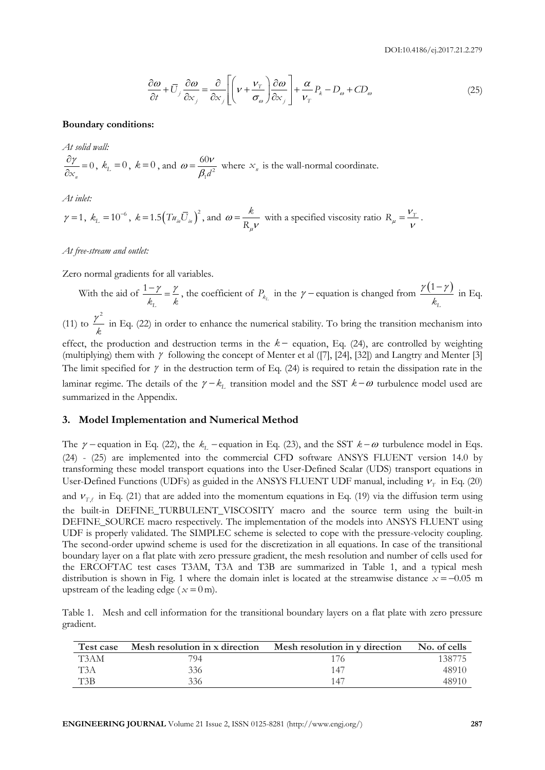$$
\frac{\partial \omega}{\partial t} + \overline{U}_j \frac{\partial \omega}{\partial x_j} = \frac{\partial}{\partial x_j} \left[ \left( \nu + \frac{\nu_r}{\sigma_\omega} \right) \frac{\partial \omega}{\partial x_j} \right] + \frac{\alpha}{\nu_r} P_k - D_\omega + CD_\omega \tag{25}
$$

#### **Boundary conditions:**

*At solid wall:*

 $\frac{\partial \gamma}{\partial x} =$  $\frac{\partial Y}{\partial x_n} = 0$  $\frac{\partial Y}{\partial x} = 0$ ,  $k_L = 0$ ,  $k = 0$ , and  $\omega = \frac{60V}{\beta_1 d^2}$  $=\frac{\partial \theta}{\partial q^2}$ 60 *d* where  $x_n$  is the wall-normal coordinate.

*At inlet:*

$$
\gamma = 1
$$
,  $k_L = 10^{-6}$ ,  $k = 1.5 \left( T u_m \overline{U}_m \right)^2$ , and  $\omega = \frac{k}{R_\mu \nu}$  with a specified viscosity ratio  $R_\mu = \frac{V_T}{\nu}$ .

*At free-stream and outlet:* 

Zero normal gradients for all variables.

With the aid of  $\frac{1-\gamma}{\gamma} = \frac{\gamma}{\gamma}$  $k_{\scriptscriptstyle\! L}$   $k$ , the coefficient of  $P_{k_L}$  in the  $\gamma$  – equation is changed from  $\frac{\gamma(1-\gamma)}{k}$  $k_{L}$ in Eq.

(11) to  $\frac{\gamma^2}{\gamma}$ *k* in Eq. (22) in order to enhance the numerical stability. To bring the transition mechanism into effect, the production and destruction terms in the  $k-$  equation, Eq. (24), are controlled by weighting (multiplying) them with  $\gamma$  following the concept of Menter et al ([7], [24], [32]) and Langtry and Menter [3] The limit specified for  $\gamma$  in the destruction term of Eq. (24) is required to retain the dissipation rate in the laminar regime. The details of the  $\gamma - k_L$  transition model and the SST  $k - \omega$  turbulence model used are summarized in the Appendix.

#### **3. Model Implementation and Numerical Method**

The  $\gamma$  – equation in Eq. (22), the  $k_L$  – equation in Eq. (23), and the SST  $k-\omega$  turbulence model in Eqs. (24) - (25) are implemented into the commercial CFD software ANSYS FLUENT version 14.0 by transforming these model transport equations into the User-Defined Scalar (UDS) transport equations in User-Defined Functions (UDFs) as guided in the ANSYS FLUENT UDF manual, including  $v<sub>T</sub>$  in Eq. (20) and  $v_{T,\ell}$  in Eq. (21) that are added into the momentum equations in Eq. (19) via the diffusion term using the built-in DEFINE\_TURBULENT\_VISCOSITY macro and the source term using the built-in DEFINE\_SOURCE macro respectively. The implementation of the models into ANSYS FLUENT using UDF is properly validated. The SIMPLEC scheme is selected to cope with the pressure-velocity coupling. The second-order upwind scheme is used for the discretization in all equations. In case of the transitional boundary layer on a flat plate with zero pressure gradient, the mesh resolution and number of cells used for the ERCOFTAC test cases T3AM, T3A and T3B are summarized in Table 1, and a typical mesh distribution is shown in Fig. 1 where the domain inlet is located at the streamwise distance  $x = -0.05$  m upstream of the leading edge ( $x = 0$  m).

Table 1. Mesh and cell information for the transitional boundary layers on a flat plate with zero pressure gradient.

| Test case        | Mesh resolution in x direction | Mesh resolution in y direction | No. of cells |
|------------------|--------------------------------|--------------------------------|--------------|
| T3AM             | 794                            |                                | 138775       |
| T <sub>3</sub> A | 336                            | 147                            | 48910        |
| T3B              | 336                            | 147                            | 48910        |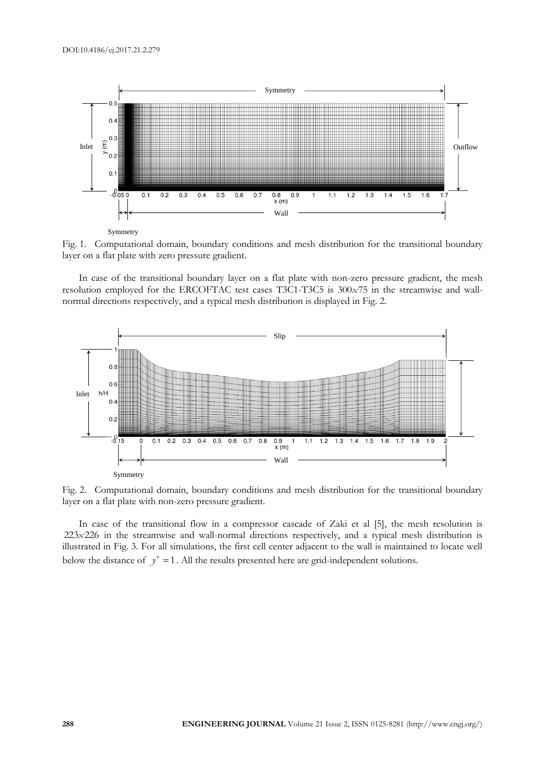

Fig. 1. Computational domain, boundary conditions and mesh distribution for the transitional boundary layer on a flat plate with zero pressure gradient.

In case of the transitional boundary layer on a flat plate with non-zero pressure gradient, the mesh resolution employed for the ERCOFTAC test cases T3C1-T3C5 is 300x75 in the streamwise and wallnormal directions respectively, and a typical mesh distribution is displayed in Fig. 2.



Fig. 2. Computational domain, boundary conditions and mesh distribution for the transitional boundary layer on a flat plate with non-zero pressure gradient.

In case of the transitional flow in a compressor cascade of Zaki et al [5], the mesh resolution is 223x226 in the streamwise and wall-normal directions respectively, and a typical mesh distribution is illustrated in Fig. 3. For all simulations, the first cell center adjacent to the wall is maintained to locate well below the distance of  $y^+ = 1$ . All the results presented here are grid-independent solutions.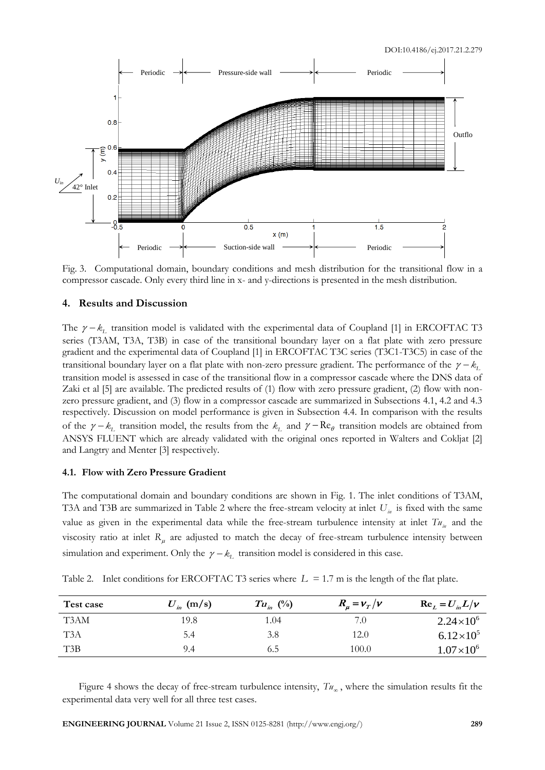

Fig. 3. Computational domain, boundary conditions and mesh distribution for the transitional flow in a compressor cascade. Only every third line in x- and y-directions is presented in the mesh distribution.

#### **4. Results and Discussion**

The  $\gamma - k_L$  transition model is validated with the experimental data of Coupland [1] in ERCOFTAC T3 series (T3AM, T3A, T3B) in case of the transitional boundary layer on a flat plate with zero pressure gradient and the experimental data of Coupland [1] in ERCOFTAC T3C series (T3C1-T3C5) in case of the transitional boundary layer on a flat plate with non-zero pressure gradient. The performance of the  $\gamma - k_L$ transition model is assessed in case of the transitional flow in a compressor cascade where the DNS data of Zaki et al [5] are available. The predicted results of (1) flow with zero pressure gradient, (2) flow with nonzero pressure gradient, and (3) flow in a compressor cascade are summarized in Subsections 4.1, 4.2 and 4.3 respectively. Discussion on model performance is given in Subsection 4.4. In comparison with the results of the  $\gamma - k_L$  transition model, the results from the  $k_L$  and  $\gamma - \text{Re}_\theta$  transition models are obtained from ANSYS FLUENT which are already validated with the original ones reported in Walters and Cokljat [2] and Langtry and Menter [3] respectively.

#### **4.1. Flow with Zero Pressure Gradient**

The computational domain and boundary conditions are shown in Fig. 1. The inlet conditions of T3AM, T3A and T3B are summarized in Table 2 where the free-stream velocity at inlet *Uin* is fixed with the same value as given in the experimental data while the free-stream turbulence intensity at inlet  $Tu_{in}$  and the viscosity ratio at inlet  $R_{\mu}$  are adjusted to match the decay of free-stream turbulence intensity between simulation and experiment. Only the  $\gamma - k_L$  transition model is considered in this case.

| Test case        | $U_{in}$ (m/s) | $Tu_{in}$ (%) | $R_{\mu} = v_{T}/v$ | $\text{Re}_{L} = U_{in}L/\nu$ |
|------------------|----------------|---------------|---------------------|-------------------------------|
| T3AM             | 19.8           | 1.04          | 7.0                 | $2.24 \times 10^6$            |
| T <sub>3</sub> A | 5.4            | 3.8           | 12.0                | $6.12\times10^{5}$            |
| T3B              | 9.4            | 6.5           | 100.0               | $1.07\times10^{6}$            |

Table 2. Inlet conditions for ERCOFTAC T3 series where  $L = 1.7$  m is the length of the flat plate.

Figure 4 shows the decay of free-stream turbulence intensity,  $T_{u_{\infty}}$ , where the simulation results fit the experimental data very well for all three test cases.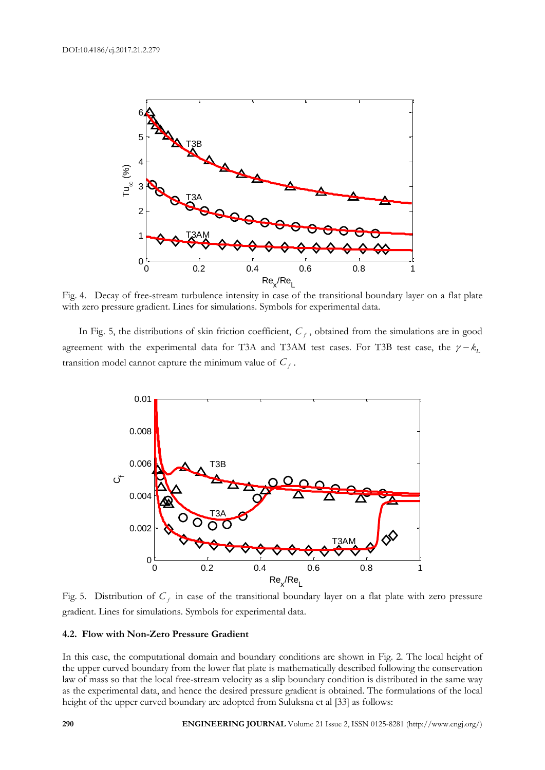

Fig. 4. Decay of free-stream turbulence intensity in case of the transitional boundary layer on a flat plate with zero pressure gradient. Lines for simulations. Symbols for experimental data.

In Fig. 5, the distributions of skin friction coefficient,  $C_f$ , obtained from the simulations are in good agreement with the experimental data for T3A and T3AM test cases. For T3B test case, the  $\gamma - k_1$ transition model cannot capture the minimum value of  $C_f$ .



Fig. 5. Distribution of  $C_f$  in case of the transitional boundary layer on a flat plate with zero pressure gradient. Lines for simulations. Symbols for experimental data.

#### **4.2. Flow with Non-Zero Pressure Gradient**

In this case, the computational domain and boundary conditions are shown in Fig. 2. The local height of the upper curved boundary from the lower flat plate is mathematically described following the conservation law of mass so that the local free-stream velocity as a slip boundary condition is distributed in the same way as the experimental data, and hence the desired pressure gradient is obtained. The formulations of the local height of the upper curved boundary are adopted from Suluksna et al [33] as follows: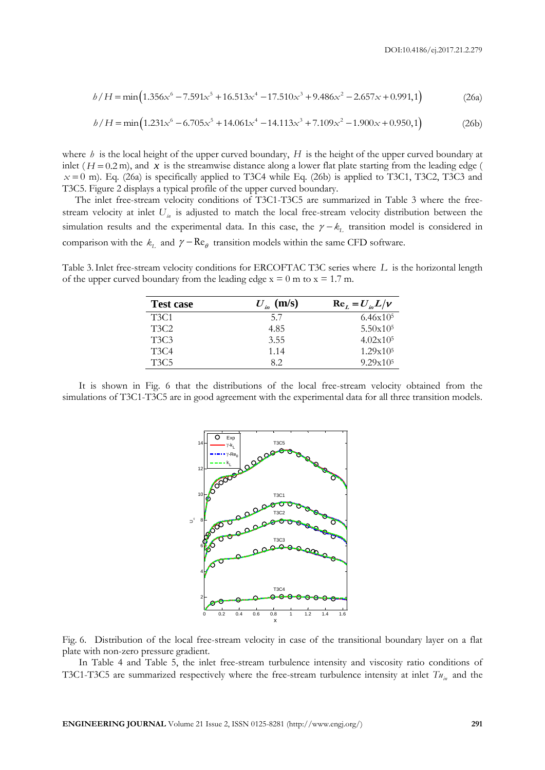$$
b/H = \min(1.356x^{6} - 7.591x^{5} + 16.513x^{4} - 17.510x^{3} + 9.486x^{2} - 2.657x + 0.991,1)
$$
 (26a)  

$$
b/H = \min(1.231x^{6} - 6.705x^{5} + 14.061x^{4} - 14.113x^{3} + 7.109x^{2} - 1.900x + 0.950,1)
$$
 (26b)

$$
b/H = \min\left(1.231x^6 - 6.705x^5 + 14.061x^4 - 14.113x^3 + 7.109x^2 - 1.900x + 0.950,1\right)
$$
 (26b)

where  $h$  is the local height of the upper curved boundary,  $H$  is the height of the upper curved boundary at inlet  $(H = 0.2 \text{ m})$ , and x is the streamwise distance along a lower flat plate starting from the leading edge (  $x = 0$  m). Eq. (26a) is specifically applied to T3C4 while Eq. (26b) is applied to T3C1, T3C2, T3C3 and T3C5. Figure 2 displays a typical profile of the upper curved boundary.

The inlet free-stream velocity conditions of T3C1-T3C5 are summarized in Table 3 where the freestream velocity at inlet *Uin* is adjusted to match the local free-stream velocity distribution between the simulation results and the experimental data. In this case, the  $\gamma - k_L$  transition model is considered in comparison with the  $k_L$  and  $\gamma - \text{Re}_\theta$  transition models within the same CFD software.

Table 3.Inlet free-stream velocity conditions for ERCOFTAC T3C series where *L* is the horizontal length of the upper curved boundary from the leading edge  $x = 0$  m to  $x = 1.7$  m.

| <b>Test case</b>              | $U_{in}$ (m/s) | $\text{Re}_{L} = U_{in}L/v$ |
|-------------------------------|----------------|-----------------------------|
| T <sub>3</sub> C <sub>1</sub> | 5.7            | 6.46x10 <sup>5</sup>        |
| T3C2                          | 4.85           | 5.50x10 <sup>5</sup>        |
| T3C3                          | 3.55           | 4.02x10 <sup>5</sup>        |
| T3C4                          | 1.14           | 1.29x105                    |
| T3C5                          | 82             | 9.29x105                    |

It is shown in Fig. 6 that the distributions of the local free-stream velocity obtained from the simulations of T3C1-T3C5 are in good agreement with the experimental data for all three transition models.



Fig. 6. Distribution of the local free-stream velocity in case of the transitional boundary layer on a flat plate with non-zero pressure gradient.

In Table 4 and Table 5, the inlet free-stream turbulence intensity and viscosity ratio conditions of T3C1-T3C5 are summarized respectively where the free-stream turbulence intensity at inlet *Tuin* and the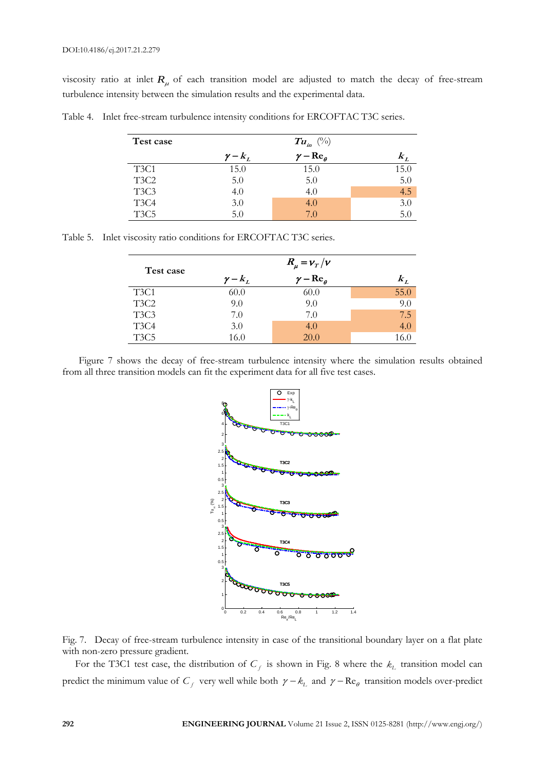viscosity ratio at inlet  $R_\mu$  of each transition model are adjusted to match the decay of free-stream turbulence intensity between the simulation results and the experimental data.

| Test case                     |                | $Tu_{in}(\%)$          |      |
|-------------------------------|----------------|------------------------|------|
|                               | $\gamma - k_L$ | $\gamma - Re_{\theta}$ |      |
| T <sub>3</sub> C <sub>1</sub> | 15.0           | 15.0                   | 15.0 |
| T <sub>3</sub> C <sub>2</sub> | 5.0            | 5.0                    | 5.0  |
| T <sub>3</sub> C <sub>3</sub> | 4.0            | 4.0                    | 4.5  |
| T <sub>3</sub> C <sub>4</sub> | 3.0            | 4.0                    | 3.0  |
| T <sub>3</sub> C <sub>5</sub> | 5.0            | 7.0                    | 5.0  |

Table 4. Inlet free-stream turbulence intensity conditions for ERCOFTAC T3C series.

Table 5. Inlet viscosity ratio conditions for ERCOFTAC T3C series.

| Test case                     | $R_{\mu} = v_{T}/v$ |                        |       |
|-------------------------------|---------------------|------------------------|-------|
|                               | $\gamma - k_L$      | $\gamma - Re_{\theta}$ | $k_L$ |
| T <sub>3</sub> C <sub>1</sub> | 60.0                | 60.0                   | 55.0  |
| T <sub>3</sub> C <sub>2</sub> | 9.0                 | 9.0                    | 9.0   |
| T <sub>3</sub> C <sub>3</sub> | 7.0                 | 7.0                    | 7.5   |
| T <sub>3</sub> C <sub>4</sub> | 3.0                 | 4.0                    | 4.0   |
| T <sub>3</sub> C <sub>5</sub> | 16.0                | 20.0                   | 16.0  |

Figure 7 shows the decay of free-stream turbulence intensity where the simulation results obtained from all three transition models can fit the experiment data for all five test cases.





For the T3C1 test case, the distribution of  $C_f$  is shown in Fig. 8 where the  $k_L$  transition model can predict the minimum value of  $C_f$  very well while both  $\gamma - k_L$  and  $\gamma - \text{Re}_\theta$  transition models over-predict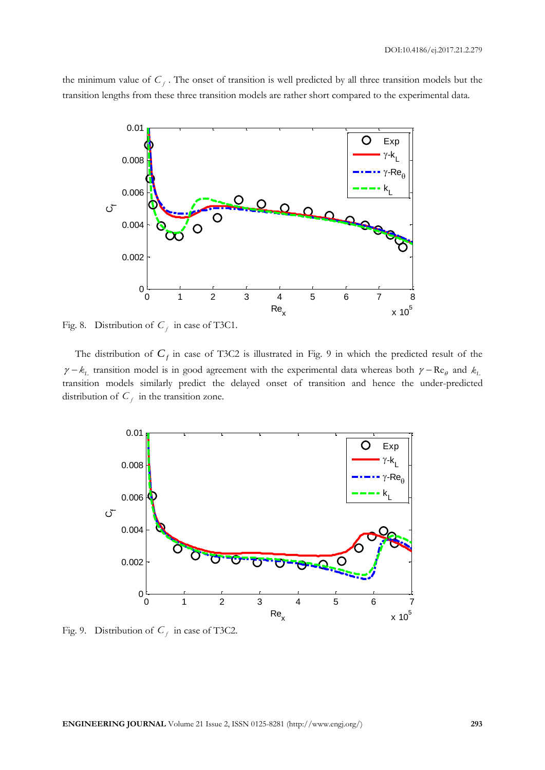the minimum value of  $C_f$ . The onset of transition is well predicted by all three transition models but the transition lengths from these three transition models are rather short compared to the experimental data.



Fig. 8. Distribution of  $C_f$  in case of T3C1.

The distribution of  $C_f$  in case of T3C2 is illustrated in Fig. 9 in which the predicted result of the  $\gamma - k_L$  transition model is in good agreement with the experimental data whereas both  $\gamma - \text{Re}_{\theta}$  and  $k_L$ transition models similarly predict the delayed onset of transition and hence the under-predicted distribution of  $C_f$  in the transition zone.



Fig. 9. Distribution of  $C_f$  in case of T3C2.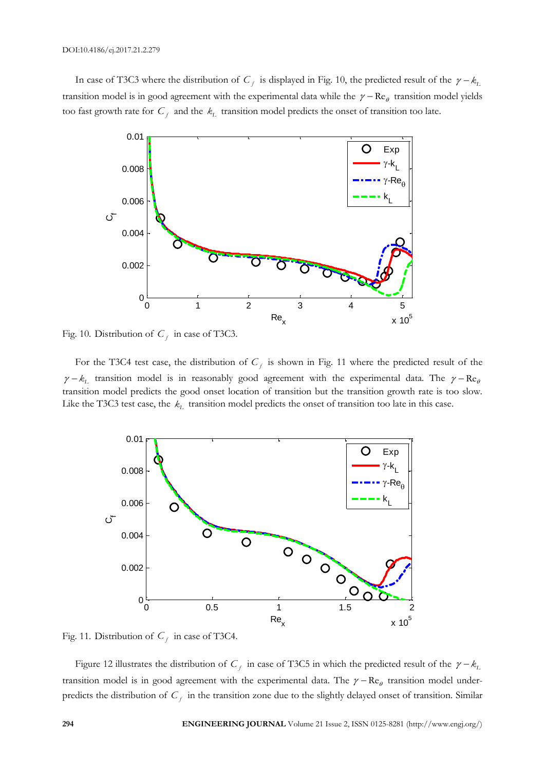In case of T3C3 where the distribution of  $C_f$  is displayed in Fig. 10, the predicted result of the  $\gamma - k_L$ transition model is in good agreement with the experimental data while the  $\gamma - \text{Re}_{\theta}$  transition model yields too fast growth rate for  $C_f$  and the  $k_L$  transition model predicts the onset of transition too late.



Fig. 10. Distribution of  $C_f$  in case of T3C3.

For the T3C4 test case, the distribution of  $C_f$  is shown in Fig. 11 where the predicted result of the  $\gamma - k_L$  transition model is in reasonably good agreement with the experimental data. The  $\gamma - Re_\theta$ transition model predicts the good onset location of transition but the transition growth rate is too slow. Like the T3C3 test case, the *kL* transition model predicts the onset of transition too late in this case.



Fig. 11. Distribution of  $C_f$  in case of T3C4.

Figure 12 illustrates the distribution of  $C_f$  in case of T3C5 in which the predicted result of the  $\gamma - k_L$ transition model is in good agreement with the experimental data. The  $\gamma - \text{Re}_{\theta}$  transition model underpredicts the distribution of  $C_f$  in the transition zone due to the slightly delayed onset of transition. Similar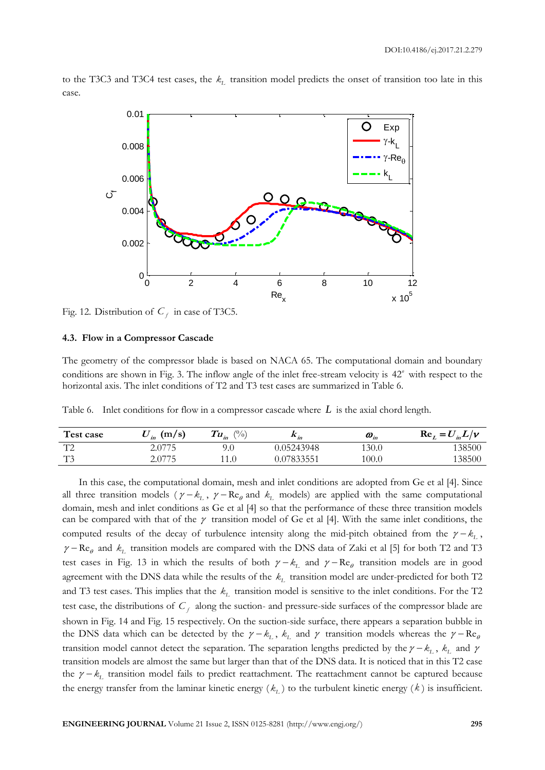to the T3C3 and T3C4 test cases, the *kL* transition model predicts the onset of transition too late in this case.



Fig. 12. Distribution of  $C_f$  in case of T3C5.

#### **4.3. Flow in a Compressor Cascade**

The geometry of the compressor blade is based on NACA 65. The computational domain and boundary conditions are shown in Fig. 3. The inflow angle of the inlet free-stream velocity is 42<sup>*o*</sup> with respect to the horizontal axis. The inlet conditions of T2 and T3 test cases are summarized in Table 6.

Table 6. Inlet conditions for flow in a compressor cascade where *L* is the axial chord length.

| Test case                | (m/s)<br>in | $\frac{(0)}{(0)}$<br>$T_{\bm{u}_{\scriptscriptstyle{in}}}$ | $\mathbf{A}$ in | $\boldsymbol{\omega}_{_{in}}$ | $\text{Re}_L = U_{in}L/v$ |
|--------------------------|-------------|------------------------------------------------------------|-----------------|-------------------------------|---------------------------|
| $T^{\prime}$<br><b>L</b> | 2.0775      | 9.0                                                        | 0.05243948      | 130.0                         | 138500                    |
| $T^2$                    | 2.0775      | .1.0                                                       | 0.07833551      | 100.0                         | 138500                    |

In this case, the computational domain, mesh and inlet conditions are adopted from Ge et al [4]. Since all three transition models ( $\gamma - k_L$ ,  $\gamma - \text{Re}_{\theta}$  and  $k_L$  models) are applied with the same computational domain, mesh and inlet conditions as Ge et al [4] so that the performance of these three transition models can be compared with that of the  $\gamma$  transition model of Ge et al [4]. With the same inlet conditions, the computed results of the decay of turbulence intensity along the mid-pitch obtained from the  $\gamma - k_L$ ,  $\gamma - \text{Re}_{\theta}$  and  $k_L$  transition models are compared with the DNS data of Zaki et al [5] for both T2 and T3 test cases in Fig. 13 in which the results of both  $\gamma - k_L$  and  $\gamma - \text{Re}_{\theta}$  transition models are in good agreement with the DNS data while the results of the *kL* transition model are under-predicted for both T2 and T3 test cases. This implies that the  $k<sub>L</sub>$  transition model is sensitive to the inlet conditions. For the T2 test case, the distributions of  $C_f$  along the suction- and pressure-side surfaces of the compressor blade are shown in Fig. 14 and Fig. 15 respectively. On the suction-side surface, there appears a separation bubble in the DNS data which can be detected by the  $\gamma - k_L$ ,  $k_L$  and  $\gamma$  transition models whereas the  $\gamma - Re_\theta$ transition model cannot detect the separation. The separation lengths predicted by the  $\gamma - k_L$ ,  $k_L$  and  $\gamma$ transition models are almost the same but larger than that of the DNS data. It is noticed that in this T2 case the  $\gamma - k_L$  transition model fails to predict reattachment. The reattachment cannot be captured because the energy transfer from the laminar kinetic energy  $(k_L)$  to the turbulent kinetic energy  $(k)$  is insufficient.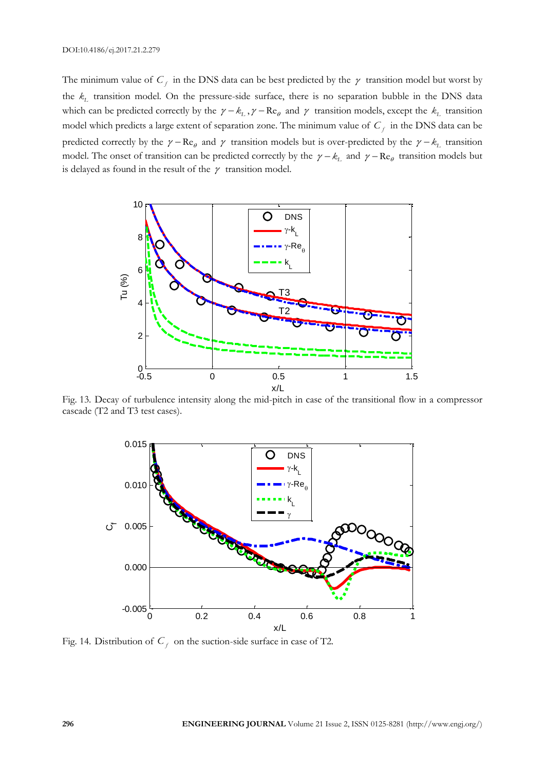The minimum value of  $C_f$  in the DNS data can be best predicted by the  $\gamma$  transition model but worst by the *kL* transition model. On the pressure-side surface, there is no separation bubble in the DNS data which can be predicted correctly by the  $\gamma - k_L$ ,  $\gamma - \text{Re}_{\theta}$  and  $\gamma$  transition models, except the  $k_L$  transition model which predicts a large extent of separation zone. The minimum value of  $C_f$  in the DNS data can be predicted correctly by the  $\gamma - \text{Re}_{\theta}$  and  $\gamma$  transition models but is over-predicted by the  $\gamma - k_L$  transition model. The onset of transition can be predicted correctly by the  $\gamma - k_L$  and  $\gamma - \text{Re}_{\theta}$  transition models but is delayed as found in the result of the  $\gamma$  transition model.



Fig. 13. Decay of turbulence intensity along the mid-pitch in case of the transitional flow in a compressor cascade (T2 and T3 test cases).



Fig. 14. Distribution of  $C_f$  on the suction-side surface in case of T2.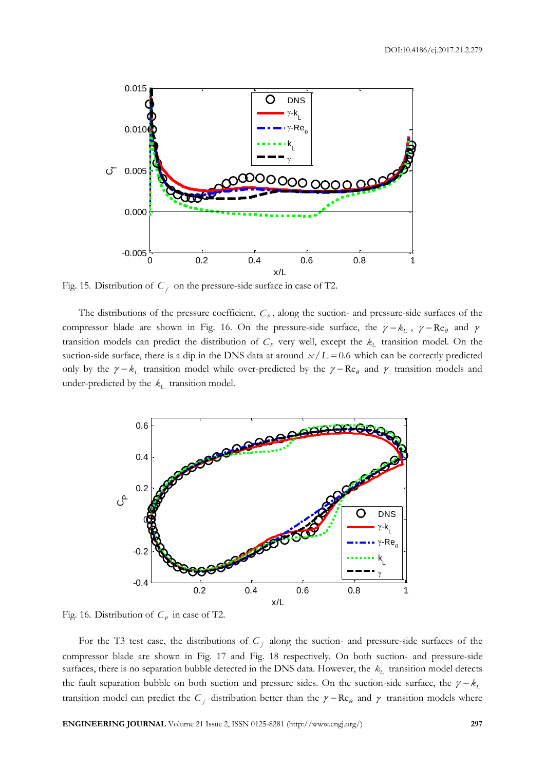

Fig. 15. Distribution of  $C_f$  on the pressure-side surface in case of T2.

The distributions of the pressure coefficient,  $C_p$ , along the suction- and pressure-side surfaces of the compressor blade are shown in Fig. 16. On the pressure-side surface, the  $\gamma - k_L$ ,  $\gamma - \text{Re}_{\theta}$  and  $\gamma$ transition models can predict the distribution of  $C_p$  very well, except the  $k_L$  transition model. On the suction-side surface, there is a dip in the DNS data at around  $x/L = 0.6$  which can be correctly predicted only by the  $\gamma - k_L$  transition model while over-predicted by the  $\gamma - \text{Re}_{\theta}$  and  $\gamma$  transition models and under-predicted by the  $k_L$  transition model.



Fig. 16. Distribution of  $C_p$  in case of T2.

For the T3 test case, the distributions of  $C_f$  along the suction- and pressure-side surfaces of the compressor blade are shown in Fig. 17 and Fig. 18 respectively. On both suction- and pressure-side surfaces, there is no separation bubble detected in the DNS data. However, the *kL* transition model detects the fault separation bubble on both suction and pressure sides. On the suction-side surface, the  $\gamma - k_1$ transition model can predict the  $C_f$  distribution better than the  $\gamma - \text{Re}_\theta$  and  $\gamma$  transition models where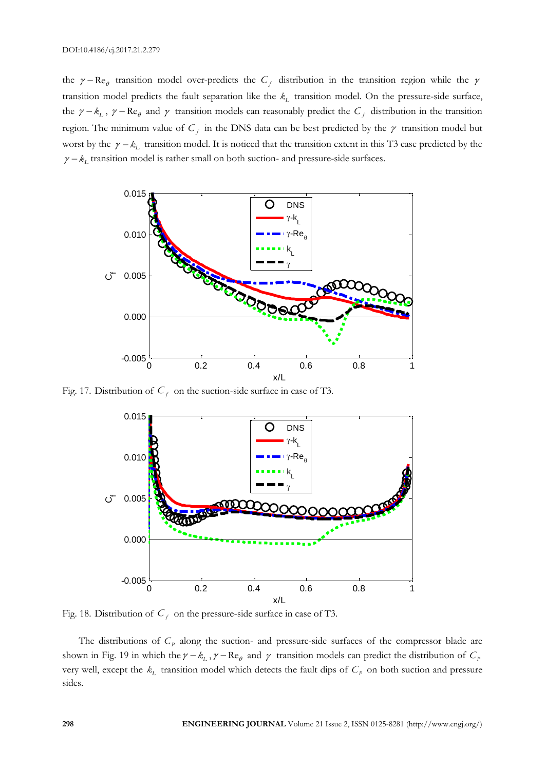the  $\gamma - Re_{\theta}$  transition model over-predicts the  $C_f$  distribution in the transition region while the  $\gamma$ transition model predicts the fault separation like the *kL* transition model. On the pressure-side surface, the  $\gamma - k_L$ ,  $\gamma - \text{Re}_{\theta}$  and  $\gamma$  transition models can reasonably predict the  $C_f$  distribution in the transition region. The minimum value of  $C_f$  in the DNS data can be best predicted by the  $\gamma$  transition model but worst by the  $\gamma - k_L$  transition model. It is noticed that the transition extent in this T3 case predicted by the  $\gamma - k_{\rm\scriptscriptstyle L}$  transition model is rather small on both suction- and pressure-side surfaces.



Fig. 17. Distribution of  $C_f$  on the suction-side surface in case of T3.



Fig. 18. Distribution of  $C_f$  on the pressure-side surface in case of T3.

The distributions of  $C_p$  along the suction- and pressure-side surfaces of the compressor blade are shown in Fig. 19 in which the  $\gamma - k_L$ ,  $\gamma - \text{Re}_{\theta}$  and  $\gamma$  transition models can predict the distribution of  $C_P$ very well, except the  $k_L$  transition model which detects the fault dips of  $C_P$  on both suction and pressure sides.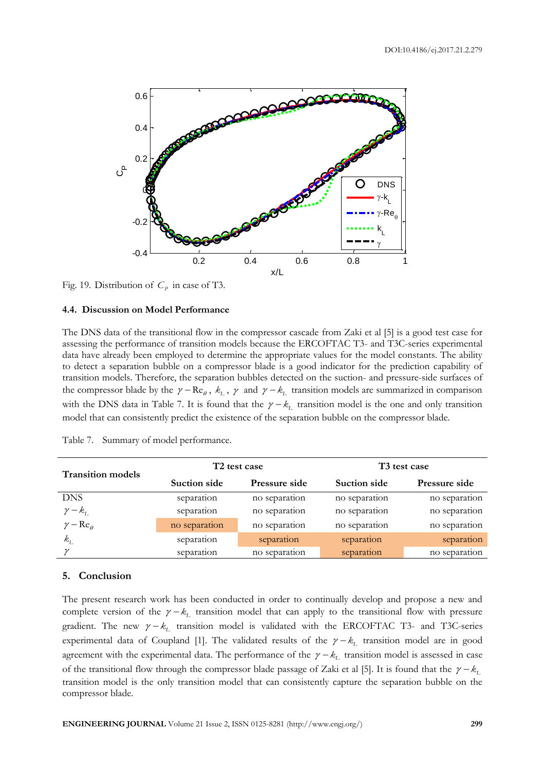

Fig. 19. Distribution of  $C_p$  in case of T3.

#### **4.4. Discussion on Model Performance**

The DNS data of the transitional flow in the compressor cascade from Zaki et al [5] is a good test case for assessing the performance of transition models because the ERCOFTAC T3- and T3C-series experimental data have already been employed to determine the appropriate values for the model constants. The ability to detect a separation bubble on a compressor blade is a good indicator for the prediction capability of transition models. Therefore, the separation bubbles detected on the suction- and pressure-side surfaces of the compressor blade by the  $\gamma - \text{Re}_{\theta}$ ,  $k_L$ ,  $\gamma$  and  $\gamma - k_L$  transition models are summarized in comparison with the DNS data in Table 7. It is found that the  $\gamma - k_L$  transition model is the one and only transition model that can consistently predict the existence of the separation bubble on the compressor blade.

| <b>Transition models</b>      | T <sub>2</sub> test case |               | T <sub>3</sub> test case |                      |
|-------------------------------|--------------------------|---------------|--------------------------|----------------------|
|                               | Suction side             | Pressure side | Suction side             | <b>Pressure side</b> |
| <b>DNS</b>                    | separation               | no separation | no separation            | no separation        |
| $\gamma - k_{L}$              | separation               | no separation | no separation            | no separation        |
| $\gamma - \text{Re}_{\theta}$ | no separation            | no separation | no separation            | no separation        |
| $k_{\scriptscriptstyle\! L}$  | separation               | separation    | separation               | separation           |
|                               | separation               | no separation | separation               | no separation        |

Table 7. Summary of model performance.

#### **5. Conclusion**

The present research work has been conducted in order to continually develop and propose a new and complete version of the  $\gamma - k_L$  transition model that can apply to the transitional flow with pressure gradient. The new  $\gamma - k_L$  transition model is validated with the ERCOFTAC T3- and T3C-series experimental data of Coupland [1]. The validated results of the  $\gamma - k_L$  transition model are in good agreement with the experimental data. The performance of the  $\gamma - k_L$  transition model is assessed in case of the transitional flow through the compressor blade passage of Zaki et al [5]. It is found that the  $\gamma - k_L$ transition model is the only transition model that can consistently capture the separation bubble on the compressor blade.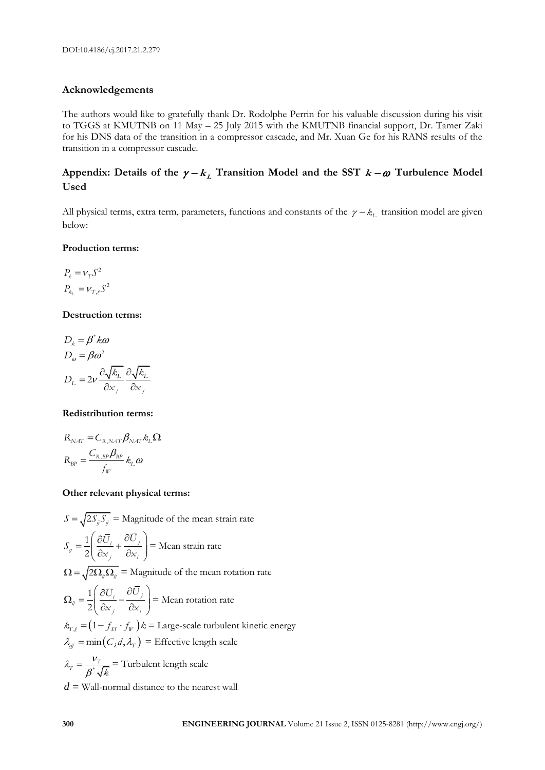#### **Acknowledgements**

The authors would like to gratefully thank Dr. Rodolphe Perrin for his valuable discussion during his visit to TGGS at KMUTNB on 11 May – 25 July 2015 with the KMUTNB financial support, Dr. Tamer Zaki for his DNS data of the transition in a compressor cascade, and Mr. Xuan Ge for his RANS results of the transition in a compressor cascade.

### Appendix: Details of the  $\gamma - k_L$  Transition Model and the SST  $k - \omega$  Turbulence Model **Used**

All physical terms, extra term, parameters, functions and constants of the  $\gamma - k_L$  transition model are given below:

#### **Production terms:**

$$
P_k = \nu_T S^2
$$
  

$$
P_{k_L} = \nu_{T,\ell} S^2
$$

#### **Destruction terms:**

$$
D_k = \beta^* k \omega
$$
  
\n
$$
D_{\omega} = \beta \omega^2
$$
  
\n
$$
D_L = 2\nu \frac{\partial \sqrt{k_L}}{\partial x_j} \frac{\partial \sqrt{k_L}}{\partial x_j}
$$

#### **Redistribution terms:**

$$
R_{\text{NAT}} = C_{\text{R,NAT}} \beta_{\text{NAT}} k_{\text{L}} \Omega
$$

$$
R_{\text{BP}} = \frac{C_{\text{R,BP}} \beta_{\text{BP}}}{f_{\text{W}}}
$$

#### **Other relevant physical terms:**

 $S = \sqrt{2S_{ij}S_{ij}}$  = Magnitude of the mean strain rate  $\left(\partial \bar{U}_{i} \quad \partial \bar{U}_{j}\right)$  $=\frac{1}{2}\left(\frac{\partial U_i}{\partial x_j}+\frac{\partial U_j}{\partial x_i}\right)=$ 2  $\dot{y} = \frac{1}{2} \left( \frac{\partial U_i}{\partial x_j} + \frac{\partial U_j}{\partial x_i} \right)$  $S_{ij} = \frac{1}{2} \left( \frac{\partial \overline{U}_i}{\partial x_i} + \frac{\partial \overline{U}_j}{\partial x_i} \right) =$  Mean strain rate  $\Omega = \sqrt{2\Omega_{ij}\Omega_{ij}}$  = Magnitude of the mean rotation rate  $\left(\begin{matrix} \partial \bar{U}_i & \partial \bar{U}_j \end{matrix}\right)$  $\Omega_{ij} = \frac{1}{2} \left( \frac{\partial U_i}{\partial x_j} - \frac{\partial U_j}{\partial x_i} \right) =$ 2  $\hat{y} = \frac{1}{2} \left( \frac{\partial U_i}{\partial x_j} - \frac{\partial U_j}{\partial x_i} \right)$  $U_i$   $\partial \bar{U}$  $\left(\frac{\partial y_i}{\partial x_i} - \frac{\partial y_i}{\partial x_i}\right)$  = Mean rotation rate  $k_{T,\ell} = (1 - f_{ss} \cdot f_{\ell})/k = \text{Large-scale turbulent kinetic energy}$  $\lambda_{\text{eff}} = \min(C_{\lambda} d, \lambda_{\text{F}}) = \text{Effective length scale}$  $\lambda_r = \frac{\nu}{\sqrt{2\pi}}$  $_{\beta}$  $=\frac{v}{\rho^*}$  $T = \frac{V_T}{\beta^* \sqrt{k}}$ = Turbulent length scale  $d$  = Wall-normal distance to the nearest wall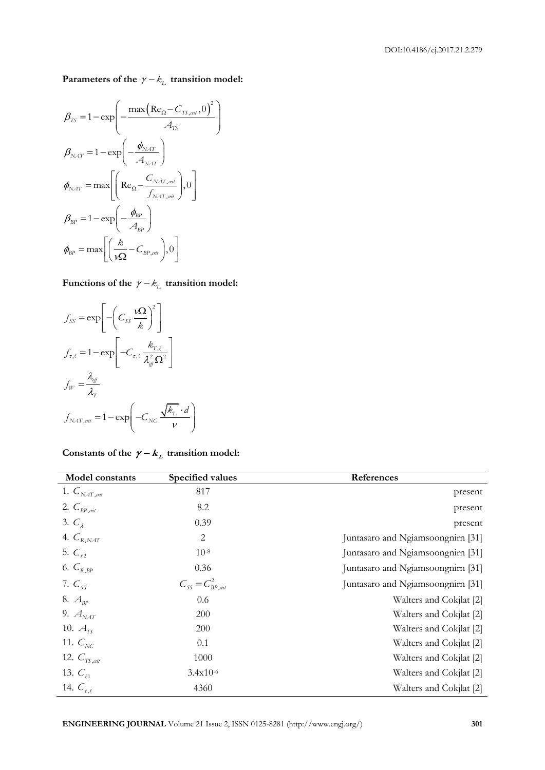Parameters of the  $\gamma - k_L$  transition model:

$$
\beta_{TS} = 1 - \exp\left(-\frac{\max(\text{Re}_{\Omega} - C_{TS,\text{crit}}, 0)^{2}}{A_{TS}}\right)
$$
\n
$$
\beta_{NAT} = 1 - \exp\left(-\frac{\phi_{NAT}}{A_{NAT}}\right)
$$
\n
$$
\phi_{NAT} = \max\left[\left(\text{Re}_{\Omega} - \frac{C_{NAT,\text{crit}}}{f_{NAT,\text{crit}}}\right), 0\right]
$$
\n
$$
\beta_{BP} = 1 - \exp\left(-\frac{\phi_{BP}}{A_{BP}}\right)
$$
\n
$$
\phi_{BP} = \max\left[\left(\frac{k}{\sqrt{\Omega}} - C_{BP,\text{crit}}\right), 0\right]
$$

## Functions of the  $\gamma - k_L$  transition model:

$$
f_{SS} = \exp\left[-\left(C_{SS} \frac{\mathbf{i}\Omega}{k}\right)^2\right]
$$
  

$$
f_{\tau,\ell} = 1 - \exp\left[-C_{\tau,\ell} \frac{k_{T,\ell}}{\lambda_{\text{eff}}^2 \Omega^2}\right]
$$
  

$$
f_W = \frac{\lambda_{\text{eff}}}{\lambda_T}
$$
  

$$
f_{NAT,\text{crit}} = 1 - \exp\left(-C_{NC} \frac{\sqrt{k_L} \cdot d}{v}\right)
$$

| Model constants           | Specified values                       | References                        |
|---------------------------|----------------------------------------|-----------------------------------|
| 1. $C_{NAT, \text{crit}}$ | 817                                    | present                           |
| 2. $C_{BP,crit}$          | 8.2                                    | present                           |
| $3. C_{\lambda}$          | 0.39                                   | present                           |
| 4. $C_{R, NAT}$           | 2                                      | Juntasaro and Ngiamsoongnirn [31] |
| 5. $C_{12}$               | $10^{-8}$                              | Juntasaro and Ngiamsoongnirn [31] |
| 6. $C_{R,BP}$             | 0.36                                   | Juntasaro and Ngiamsoongnirn [31] |
| 7. $C_{\text{rr}}$        | $C_{\text{cr}} = C_{\text{BP,crit}}^2$ | Juntasaro and Ngiamsoongnirn [31] |
| 8. $A_{\text{BP}}$        | 0.6                                    | Walters and Cokjlat [2]           |
| 9. $A_{\text{NAT}}$       | 200                                    | Walters and Cokjlat [2]           |
| 10. $A_{\rm rs}$          | 200                                    | Walters and Cokjlat [2]           |
| 11. $C_{NC}$              | 0.1                                    | Walters and Cokjlat [2]           |
| 12. $C_{TS, \text{crit}}$ | 1000                                   | Walters and Cokjlat [2]           |
| 13. $C_{\ell_1}$          | $3.4x10^{-6}$                          | Walters and Cokjlat [2]           |
| 14. $C_{\tau,\ell}$       | 4360                                   | Walters and Cokjlat [2]           |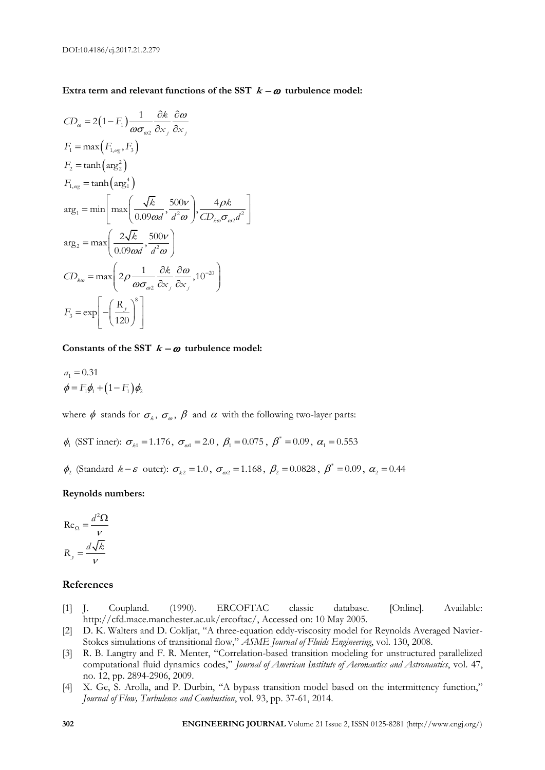#### Extra term and relevant functions of the SST  $k - \omega$  turbulence model:

$$
CD_{\omega} = 2(1 - F_{1}) \frac{1}{\omega \sigma_{\omega 2}} \frac{\partial k}{\partial x_{j}} \frac{\partial \omega}{\partial x_{j}}
$$
  
\n
$$
F_{1} = \max (F_{1,\omega_{\overline{X}}}, F_{3})
$$
  
\n
$$
F_{2} = \tanh(\arg_{2}^{2})
$$
  
\n
$$
F_{1,\omega_{\overline{X}}} = \tanh(\arg_{1}^{4})
$$
  
\n
$$
\arg_{1} = \min \left[ \max \left( \frac{\sqrt{k}}{0.09 \omega d}, \frac{500 \nu}{d^{2} \omega} \right), \frac{4 \rho k}{CD_{k\omega} \sigma_{\omega 2} d^{2}} \right]
$$
  
\n
$$
\arg_{2} = \max \left( \frac{2 \sqrt{k}}{0.09 \omega d}, \frac{500 \nu}{d^{2} \omega} \right)
$$
  
\n
$$
CD_{k\omega} = \max \left( 2 \rho \frac{1}{\omega \sigma_{\omega 2}} \frac{\partial k}{\partial x_{j}} \frac{\partial \omega}{\partial x_{j}}, 10^{-20} \right)
$$
  
\n
$$
F_{3} = \exp \left[ -\left( \frac{R_{y}}{120} \right)^{8} \right]
$$

Constants of the SST  $k - \omega$  turbulence model:

$$
a_1 = 0.31
$$
  
\n $\phi = F_1 \phi_1 + (1 - F_1) \phi_2$ 

where  $\phi$  stands for  $\sigma_{\scriptscriptstyle \!\!\! k}$ ,  $\sigma_{\scriptscriptstyle \!\! \omega}$ ,  $\beta$  and  $\alpha$  with the following two-layer parts:

 $\phi_1$  (SST inner):  $\sigma_{k1} = 1.176$ ,  $\sigma_{\omega_1} = 2.0$ ,  $\beta_1 = 0.075$ ,  $\beta^* = 0.09$ ,  $\alpha_1 = 0.553$ 

 $\phi_2$  (Standard  $k - \varepsilon$  outer):  $\sigma_{k2} = 1.0$ ,  $\sigma_{\omega_2} = 1.168$ ,  $\beta_2 = 0.0828$ ,  $\beta^* = 0.09$ ,  $\alpha_2 = 0.44$ 

#### **Reynolds numbers:**

$$
Re_{\Omega} = \frac{d^2 \Omega}{\nu}
$$

$$
R_y = \frac{d\sqrt{k}}{\nu}
$$

#### **References**

- [1] J. Coupland. (1990). ERCOFTAC classic database. [Online]. Available: http://cfd.mace.manchester.ac.uk/ercoftac/, Accessed on: 10 May 2005.
- [2] D. K. Walters and D. Cokljat, "A three-equation eddy-viscosity model for Reynolds Averaged Navier-Stokes simulations of transitional flow," *ASME Journal of Fluids Engineering*, vol. 130, 2008.
- [3] R. B. Langtry and F. R. Menter, "Correlation-based transition modeling for unstructured parallelized computational fluid dynamics codes," *Journal of American Institute of Aeronautics and Astronautics*, vol. 47, no. 12, pp. 2894-2906, 2009.
- [4] X. Ge, S. Arolla, and P. Durbin, "A bypass transition model based on the intermittency function," *Journal of Flow, Turbulence and Combustion*, vol. 93, pp. 37-61, 2014.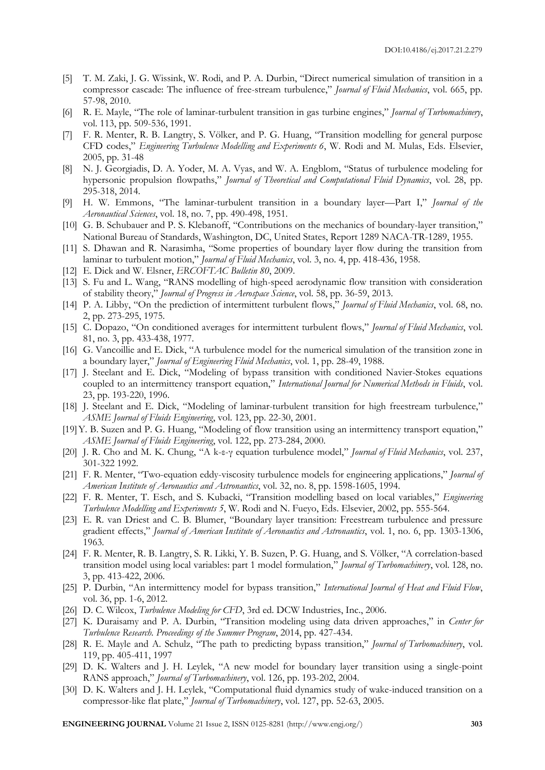- [5] T. M. Zaki, J. G. Wissink, W. Rodi, and P. A. Durbin, "Direct numerical simulation of transition in a compressor cascade: The influence of free-stream turbulence," *Journal of Fluid Mechanics*, vol. 665, pp. 57-98, 2010.
- [6] R. E. Mayle, "The role of laminar-turbulent transition in gas turbine engines," *Journal of Turbomachinery*, vol. 113, pp. 509-536, 1991.
- [7] F. R. Menter, R. B. Langtry, S. Völker, and P. G. Huang, "Transition modelling for general purpose CFD codes," *Engineering Turbulence Modelling and Experiments 6*, W. Rodi and M. Mulas, Eds. Elsevier, 2005, pp. 31-48
- [8] N. J. Georgiadis, D. A. Yoder, M. A. Vyas, and W. A. Engblom, "Status of turbulence modeling for hypersonic propulsion flowpaths," *Journal of Theoretical and Computational Fluid Dynamics*, vol. 28, pp. 295-318, 2014.
- [9] H. W. Emmons, "The laminar-turbulent transition in a boundary layer—Part I," *Journal of the Aeronautical Sciences*, vol. 18, no. 7, pp. 490-498, 1951.
- [10] G. B. Schubauer and P. S. Klebanoff, "Contributions on the mechanics of boundary-layer transition," National Bureau of Standards, Washington, DC, United States, Report 1289 NACA-TR-1289, 1955.
- [11] S. Dhawan and R. Narasimha, "Some properties of boundary layer flow during the transition from laminar to turbulent motion," *Journal of Fluid Mechanics*, vol. 3, no. 4, pp. 418-436, 1958.
- [12] E. Dick and W. Elsner, *ERCOFTAC Bulletin 80*, 2009.
- [13] S. Fu and L. Wang, "RANS modelling of high-speed aerodynamic flow transition with consideration of stability theory," *Journal of Progress in Aerospace Science*, vol. 58, pp. 36-59, 2013.
- [14] P. A. Libby, "On the prediction of intermittent turbulent flows," *Journal of Fluid Mechanics*, vol. 68, no. 2, pp. 273-295, 1975.
- [15] C. Dopazo, "On conditioned averages for intermittent turbulent flows," *Journal of Fluid Mechanics*, vol. 81, no. 3, pp. 433-438, 1977.
- [16] G. Vancoillie and E. Dick, "A turbulence model for the numerical simulation of the transition zone in a boundary layer," *Journal of Engineering Fluid Mechanics*, vol. 1, pp. 28-49, 1988.
- [17] J. Steelant and E. Dick, "Modeling of bypass transition with conditioned Navier-Stokes equations coupled to an intermittency transport equation," *International Journal for Numerical Methods in Fluids*, vol. 23, pp. 193-220, 1996.
- [18] J. Steelant and E. Dick, "Modeling of laminar-turbulent transition for high freestream turbulence," *ASME Journal of Fluids Engineering*, vol. 123, pp. 22-30, 2001.
- [19]Y. B. Suzen and P. G. Huang, "Modeling of flow transition using an intermittency transport equation," *ASME Journal of Fluids Engineering*, vol. 122, pp. 273-284, 2000.
- [20] J. R. Cho and M. K. Chung, "A k-ε-γ equation turbulence model," *Journal of Fluid Mechanics*, vol. 237, 301-322 1992.
- [21] F. R. Menter, "Two-equation eddy-viscosity turbulence models for engineering applications," *Journal of American Institute of Aeronautics and Astronautics*, vol. 32, no. 8, pp. 1598-1605, 1994.
- [22] F. R. Menter, T. Esch, and S. Kubacki, "Transition modelling based on local variables," *Engineering Turbulence Modelling and Experiments 5*, W. Rodi and N. Fueyo, Eds. Elsevier, 2002, pp. 555-564.
- [23] E. R. van Driest and C. B. Blumer, "Boundary layer transition: Freestream turbulence and pressure gradient effects," *Journal of American Institute of Aeronautics and Astronautics*, vol. 1, no. 6, pp. 1303-1306, 1963.
- [24] F. R. Menter, R. B. Langtry, S. R. Likki, Y. B. Suzen, P. G. Huang, and S. Völker, "A correlation-based transition model using local variables: part 1 model formulation," *Journal of Turbomachinery*, vol. 128, no. 3, pp. 413-422, 2006.
- [25] P. Durbin, "An intermittency model for bypass transition," *International Journal of Heat and Fluid Flow*, vol. 36, pp. 1-6, 2012.
- [26] D. C. Wilcox, *Turbulence Modeling for CFD*, 3rd ed. DCW Industries, Inc., 2006.
- [27] K. Duraisamy and P. A. Durbin, "Transition modeling using data driven approaches," in *Center for Turbulence Research. Proceedings of the Summer Program*, 2014, pp. 427-434.
- [28] R. E. Mayle and A. Schulz, "The path to predicting bypass transition," *Journal of Turbomachinery*, vol. 119, pp. 405-411, 1997
- [29] D. K. Walters and J. H. Leylek, "A new model for boundary layer transition using a single-point RANS approach," *Journal of Turbomachinery*, vol. 126, pp. 193-202, 2004.
- [30] D. K. Walters and J. H. Leylek, "Computational fluid dynamics study of wake-induced transition on a compressor-like flat plate," *Journal of Turbomachinery*, vol. 127, pp. 52-63, 2005.

**ENGINEERING JOURNAL** Volume 21 Issue 2, ISSN 0125-8281 (http://www.engj.org/) **303**